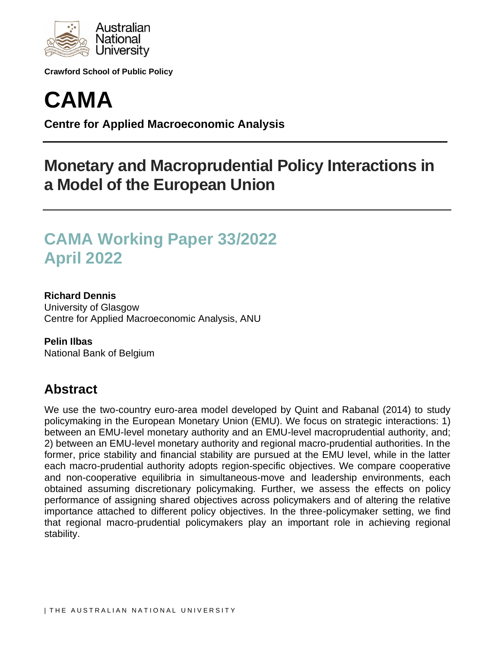

**Crawford School of Public Policy**



**Centre for Applied Macroeconomic Analysis**

# **Monetary and Macroprudential Policy Interactions in a Model of the European Union**

# **CAMA Working Paper 33/2022 April 2022**

### **Richard Dennis**

University of Glasgow Centre for Applied Macroeconomic Analysis, ANU

**Pelin Ilbas** National Bank of Belgium

# **Abstract**

We use the two-country euro-area model developed by Quint and Rabanal (2014) to study policymaking in the European Monetary Union (EMU). We focus on strategic interactions: 1) between an EMU-level monetary authority and an EMU-level macroprudential authority, and; 2) between an EMU-level monetary authority and regional macro-prudential authorities. In the former, price stability and financial stability are pursued at the EMU level, while in the latter each macro-prudential authority adopts region-specific objectives. We compare cooperative and non-cooperative equilibria in simultaneous-move and leadership environments, each obtained assuming discretionary policymaking. Further, we assess the effects on policy performance of assigning shared objectives across policymakers and of altering the relative importance attached to different policy objectives. In the three-policymaker setting, we find that regional macro-prudential policymakers play an important role in achieving regional stability.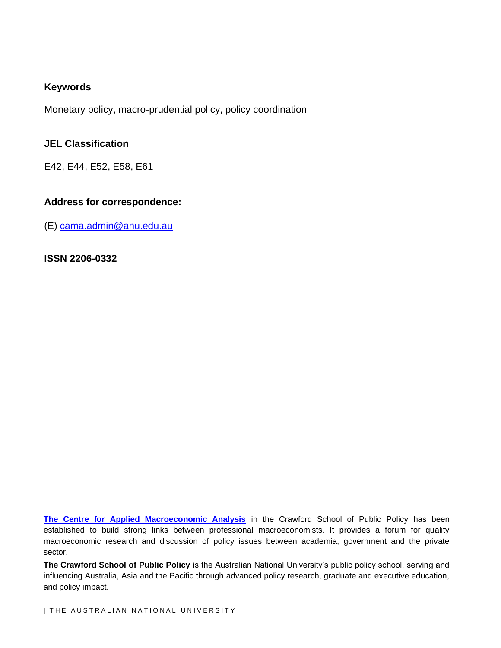### **Keywords**

Monetary policy, macro-prudential policy, policy coordination

#### **JEL Classification**

E42, E44, E52, E58, E61

### **Address for correspondence:**

(E) [cama.admin@anu.edu.au](mailto:cama.admin@anu.edu.au)

#### **ISSN 2206-0332**

**[The Centre for Applied Macroeconomic Analysis](http://cama.crawford.anu.edu.au/)** in the Crawford School of Public Policy has been established to build strong links between professional macroeconomists. It provides a forum for quality macroeconomic research and discussion of policy issues between academia, government and the private sector.

**The Crawford School of Public Policy** is the Australian National University's public policy school, serving and influencing Australia, Asia and the Pacific through advanced policy research, graduate and executive education, and policy impact.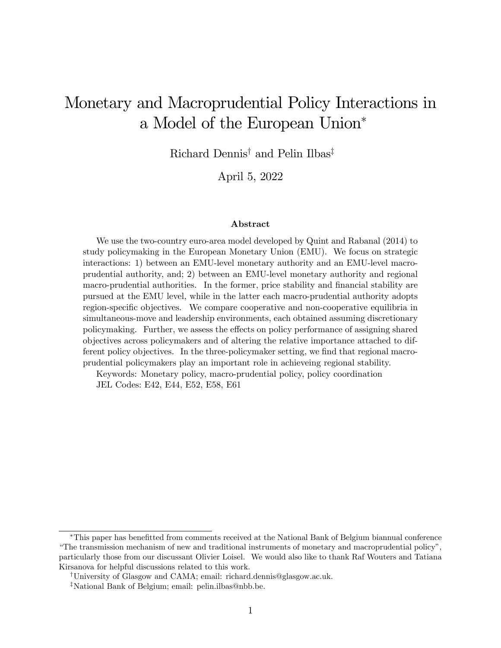# Monetary and Macroprudential Policy Interactions in a Model of the European Union

Richard Dennis<sup>†</sup> and Pelin Ilbas<sup>‡</sup>

April 5, 2022

#### Abstract

We use the two-country euro-area model developed by Quint and Rabanal (2014) to study policymaking in the European Monetary Union (EMU). We focus on strategic interactions: 1) between an EMU-level monetary authority and an EMU-level macroprudential authority, and; 2) between an EMU-level monetary authority and regional macro-prudential authorities. In the former, price stability and financial stability are pursued at the EMU level, while in the latter each macro-prudential authority adopts region-specific objectives. We compare cooperative and non-cooperative equilibria in simultaneous-move and leadership environments, each obtained assuming discretionary policymaking. Further, we assess the effects on policy performance of assigning shared objectives across policymakers and of altering the relative importance attached to different policy objectives. In the three-policymaker setting, we find that regional macroprudential policymakers play an important role in achieveing regional stability.

Keywords: Monetary policy, macro-prudential policy, policy coordination JEL Codes: E42, E44, E52, E58, E61

This paper has beneÖtted from comments received at the National Bank of Belgium biannual conference ìThe transmission mechanism of new and traditional instruments of monetary and macroprudential policyî, particularly those from our discussant Olivier Loisel. We would also like to thank Raf Wouters and Tatiana Kirsanova for helpful discussions related to this work.

<sup>&</sup>lt;sup>†</sup>University of Glasgow and CAMA; email: richard.dennis@glasgow.ac.uk.

<sup>&</sup>lt;sup>‡</sup>National Bank of Belgium; email: pelin.ilbas@nbb.be.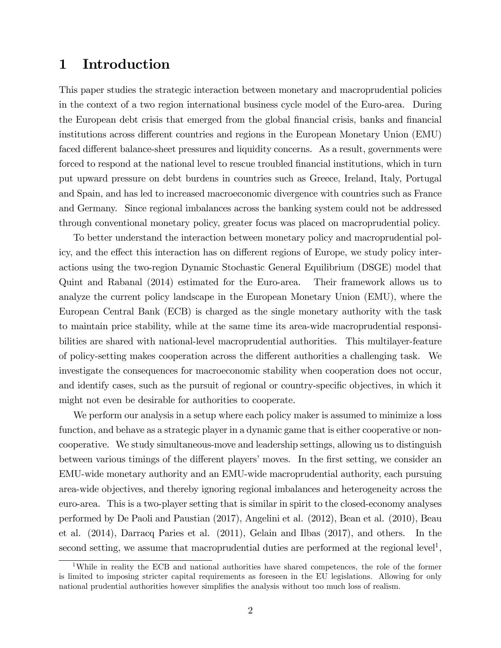### 1 Introduction

This paper studies the strategic interaction between monetary and macroprudential policies in the context of a two region international business cycle model of the Euro-area. During the European debt crisis that emerged from the global financial crisis, banks and financial institutions across different countries and regions in the European Monetary Union (EMU) faced different balance-sheet pressures and liquidity concerns. As a result, governments were forced to respond at the national level to rescue troubled financial institutions, which in turn put upward pressure on debt burdens in countries such as Greece, Ireland, Italy, Portugal and Spain, and has led to increased macroeconomic divergence with countries such as France and Germany. Since regional imbalances across the banking system could not be addressed through conventional monetary policy, greater focus was placed on macroprudential policy.

To better understand the interaction between monetary policy and macroprudential policy, and the effect this interaction has on different regions of Europe, we study policy interactions using the two-region Dynamic Stochastic General Equilibrium (DSGE) model that Quint and Rabanal (2014) estimated for the Euro-area. Their framework allows us to analyze the current policy landscape in the European Monetary Union (EMU), where the European Central Bank (ECB) is charged as the single monetary authority with the task to maintain price stability, while at the same time its area-wide macroprudential responsibilities are shared with national-level macroprudential authorities. This multilayer-feature of policy-setting makes cooperation across the different authorities a challenging task. We investigate the consequences for macroeconomic stability when cooperation does not occur, and identify cases, such as the pursuit of regional or country-specific objectives, in which it might not even be desirable for authorities to cooperate.

We perform our analysis in a setup where each policy maker is assumed to minimize a loss function, and behave as a strategic player in a dynamic game that is either cooperative or noncooperative. We study simultaneous-move and leadership settings, allowing us to distinguish between various timings of the different players' moves. In the first setting, we consider an EMU-wide monetary authority and an EMU-wide macroprudential authority, each pursuing area-wide objectives, and thereby ignoring regional imbalances and heterogeneity across the euro-area. This is a two-player setting that is similar in spirit to the closed-economy analyses performed by De Paoli and Paustian (2017), Angelini et al. (2012), Bean et al. (2010), Beau et al. (2014), Darracq Paries et al. (2011), Gelain and Ilbas (2017), and others. In the second setting, we assume that macroprudential duties are performed at the regional level<sup>1</sup>,

<sup>&</sup>lt;sup>1</sup>While in reality the ECB and national authorities have shared competences, the role of the former is limited to imposing stricter capital requirements as foreseen in the EU legislations. Allowing for only national prudential authorities however simplifies the analysis without too much loss of realism.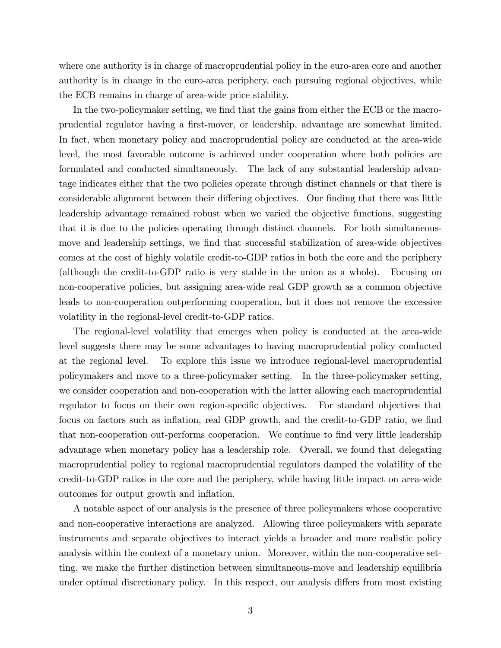where one authority is in charge of macroprudential policy in the euro-area core and another authority is in change in the euro-area periphery, each pursuing regional objectives, while the ECB remains in charge of area-wide price stability.

In the two-policymaker setting, we find that the gains from either the ECB or the macroprudential regulator having a Örst-mover, or leadership, advantage are somewhat limited. In fact, when monetary policy and macroprudential policy are conducted at the area-wide level, the most favorable outcome is achieved under cooperation where both policies are formulated and conducted simultaneously. The lack of any substantial leadership advantage indicates either that the two policies operate through distinct channels or that there is considerable alignment between their differing objectives. Our finding that there was little leadership advantage remained robust when we varied the objective functions, suggesting that it is due to the policies operating through distinct channels. For both simultaneousmove and leadership settings, we find that successful stabilization of area-wide objectives comes at the cost of highly volatile credit-to-GDP ratios in both the core and the periphery (although the credit-to-GDP ratio is very stable in the union as a whole). Focusing on non-cooperative policies, but assigning area-wide real GDP growth as a common objective leads to non-cooperation outperforming cooperation, but it does not remove the excessive volatility in the regional-level credit-to-GDP ratios.

The regional-level volatility that emerges when policy is conducted at the area-wide level suggests there may be some advantages to having macroprudential policy conducted at the regional level. To explore this issue we introduce regional-level macroprudential policymakers and move to a three-policymaker setting. In the three-policymaker setting, we consider cooperation and non-cooperation with the latter allowing each macroprudential regulator to focus on their own region-specific objectives. For standard objectives that focus on factors such as inflation, real GDP growth, and the credit-to-GDP ratio, we find that non-cooperation out-performs cooperation. We continue to find very little leadership advantage when monetary policy has a leadership role. Overall, we found that delegating macroprudential policy to regional macroprudential regulators damped the volatility of the credit-to-GDP ratios in the core and the periphery, while having little impact on area-wide outcomes for output growth and inflation.

A notable aspect of our analysis is the presence of three policymakers whose cooperative and non-cooperative interactions are analyzed. Allowing three policymakers with separate instruments and separate objectives to interact yields a broader and more realistic policy analysis within the context of a monetary union. Moreover, within the non-cooperative setting, we make the further distinction between simultaneous-move and leadership equilibria under optimal discretionary policy. In this respect, our analysis differs from most existing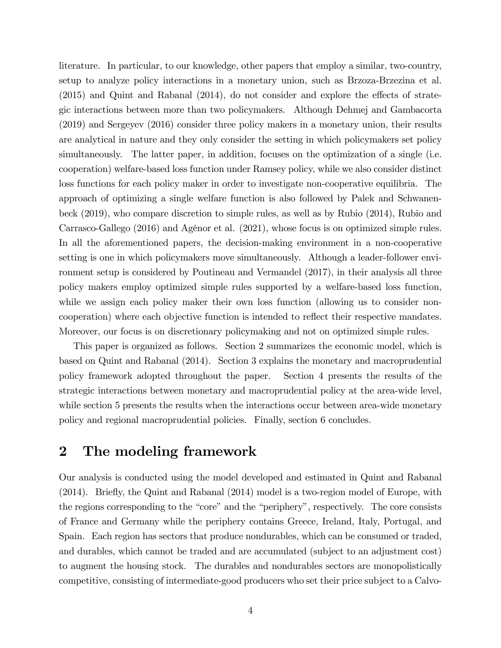literature. In particular, to our knowledge, other papers that employ a similar, two-country, setup to analyze policy interactions in a monetary union, such as Brzoza-Brzezina et al.  $(2015)$  and Quint and Rabanal  $(2014)$ , do not consider and explore the effects of strategic interactions between more than two policymakers. Although Dehmej and Gambacorta (2019) and Sergeyev (2016) consider three policy makers in a monetary union, their results are analytical in nature and they only consider the setting in which policymakers set policy simultaneously. The latter paper, in addition, focuses on the optimization of a single (i.e. cooperation) welfare-based loss function under Ramsey policy, while we also consider distinct loss functions for each policy maker in order to investigate non-cooperative equilibria. The approach of optimizing a single welfare function is also followed by Palek and Schwanenbeck (2019), who compare discretion to simple rules, as well as by Rubio (2014), Rubio and Carrasco-Gallego (2016) and Agénor et al. (2021), whose focus is on optimized simple rules. In all the aforementioned papers, the decision-making environment in a non-cooperative setting is one in which policymakers move simultaneously. Although a leader-follower environment setup is considered by Poutineau and Vermandel (2017), in their analysis all three policy makers employ optimized simple rules supported by a welfare-based loss function, while we assign each policy maker their own loss function (allowing us to consider noncooperation) where each objective function is intended to reflect their respective mandates. Moreover, our focus is on discretionary policymaking and not on optimized simple rules.

This paper is organized as follows. Section 2 summarizes the economic model, which is based on Quint and Rabanal (2014). Section 3 explains the monetary and macroprudential policy framework adopted throughout the paper. Section 4 presents the results of the strategic interactions between monetary and macroprudential policy at the area-wide level, while section 5 presents the results when the interactions occur between area-wide monetary policy and regional macroprudential policies. Finally, section 6 concludes.

### 2 The modeling framework

Our analysis is conducted using the model developed and estimated in Quint and Rabanal  $(2014)$ . Briefly, the Quint and Rabanal  $(2014)$  model is a two-region model of Europe, with the regions corresponding to the "core" and the "periphery", respectively. The core consists of France and Germany while the periphery contains Greece, Ireland, Italy, Portugal, and Spain. Each region has sectors that produce nondurables, which can be consumed or traded, and durables, which cannot be traded and are accumulated (subject to an adjustment cost) to augment the housing stock. The durables and nondurables sectors are monopolistically competitive, consisting of intermediate-good producers who set their price subject to a Calvo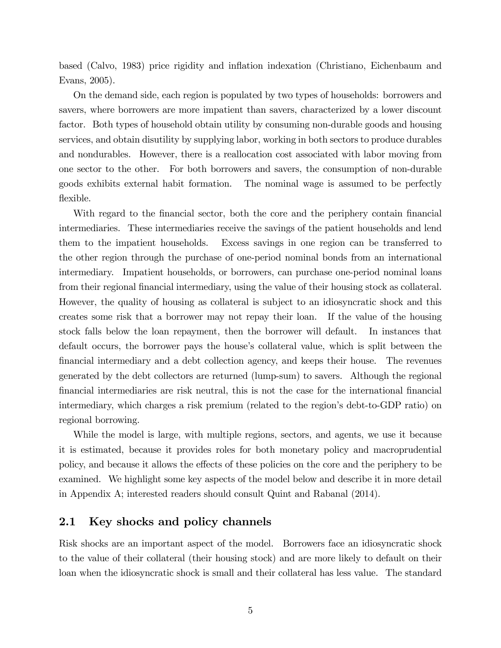based (Calvo, 1983) price rigidity and ináation indexation (Christiano, Eichenbaum and Evans, 2005).

On the demand side, each region is populated by two types of households: borrowers and savers, where borrowers are more impatient than savers, characterized by a lower discount factor. Both types of household obtain utility by consuming non-durable goods and housing services, and obtain disutility by supplying labor, working in both sectors to produce durables and nondurables. However, there is a reallocation cost associated with labor moving from one sector to the other. For both borrowers and savers, the consumption of non-durable goods exhibits external habit formation. The nominal wage is assumed to be perfectly flexible.

With regard to the financial sector, both the core and the periphery contain financial intermediaries. These intermediaries receive the savings of the patient households and lend them to the impatient households. Excess savings in one region can be transferred to the other region through the purchase of one-period nominal bonds from an international intermediary. Impatient households, or borrowers, can purchase one-period nominal loans from their regional financial intermediary, using the value of their housing stock as collateral. However, the quality of housing as collateral is subject to an idiosyncratic shock and this creates some risk that a borrower may not repay their loan. If the value of the housing stock falls below the loan repayment, then the borrower will default. In instances that default occurs, the borrower pays the house's collateral value, which is split between the Önancial intermediary and a debt collection agency, and keeps their house. The revenues generated by the debt collectors are returned (lump-sum) to savers. Although the regional Önancial intermediaries are risk neutral, this is not the case for the international Önancial intermediary, which charges a risk premium (related to the region's debt-to-GDP ratio) on regional borrowing.

While the model is large, with multiple regions, sectors, and agents, we use it because it is estimated, because it provides roles for both monetary policy and macroprudential policy, and because it allows the effects of these policies on the core and the periphery to be examined. We highlight some key aspects of the model below and describe it in more detail in Appendix A; interested readers should consult Quint and Rabanal (2014).

### 2.1 Key shocks and policy channels

Risk shocks are an important aspect of the model. Borrowers face an idiosyncratic shock to the value of their collateral (their housing stock) and are more likely to default on their loan when the idiosyncratic shock is small and their collateral has less value. The standard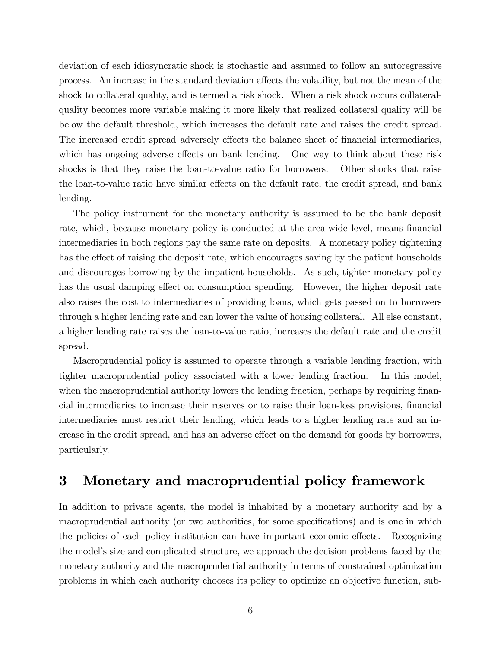deviation of each idiosyncratic shock is stochastic and assumed to follow an autoregressive process. An increase in the standard deviation a§ects the volatility, but not the mean of the shock to collateral quality, and is termed a risk shock. When a risk shock occurs collateralquality becomes more variable making it more likely that realized collateral quality will be below the default threshold, which increases the default rate and raises the credit spread. The increased credit spread adversely effects the balance sheet of financial intermediaries, which has ongoing adverse effects on bank lending. One way to think about these risk shocks is that they raise the loan-to-value ratio for borrowers. Other shocks that raise the loan-to-value ratio have similar effects on the default rate, the credit spread, and bank lending.

The policy instrument for the monetary authority is assumed to be the bank deposit rate, which, because monetary policy is conducted at the area-wide level, means financial intermediaries in both regions pay the same rate on deposits. A monetary policy tightening has the effect of raising the deposit rate, which encourages saving by the patient households and discourages borrowing by the impatient households. As such, tighter monetary policy has the usual damping effect on consumption spending. However, the higher deposit rate also raises the cost to intermediaries of providing loans, which gets passed on to borrowers through a higher lending rate and can lower the value of housing collateral. All else constant, a higher lending rate raises the loan-to-value ratio, increases the default rate and the credit spread.

Macroprudential policy is assumed to operate through a variable lending fraction, with tighter macroprudential policy associated with a lower lending fraction. In this model, when the macroprudential authority lowers the lending fraction, perhaps by requiring financial intermediaries to increase their reserves or to raise their loan-loss provisions, financial intermediaries must restrict their lending, which leads to a higher lending rate and an increase in the credit spread, and has an adverse effect on the demand for goods by borrowers, particularly.

## 3 Monetary and macroprudential policy framework

In addition to private agents, the model is inhabited by a monetary authority and by a macroprudential authority (or two authorities, for some specifications) and is one in which the policies of each policy institution can have important economic effects. Recognizing the modelís size and complicated structure, we approach the decision problems faced by the monetary authority and the macroprudential authority in terms of constrained optimization problems in which each authority chooses its policy to optimize an objective function, sub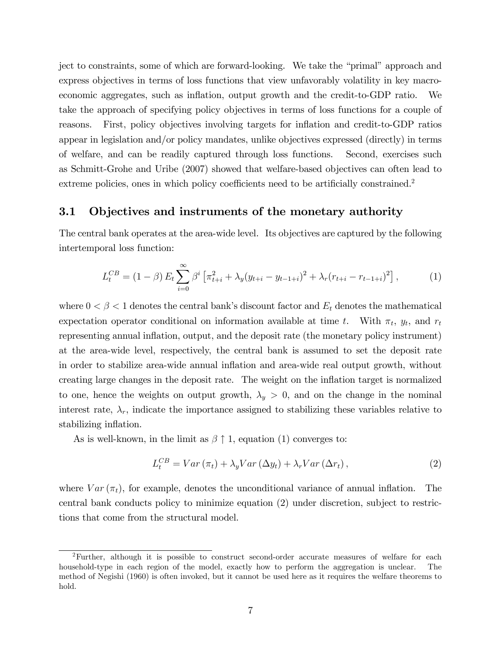ject to constraints, some of which are forward-looking. We take the "primal" approach and express objectives in terms of loss functions that view unfavorably volatility in key macroeconomic aggregates, such as inflation, output growth and the credit-to-GDP ratio. We take the approach of specifying policy objectives in terms of loss functions for a couple of reasons. First, policy objectives involving targets for inflation and credit-to-GDP ratios appear in legislation and/or policy mandates, unlike objectives expressed (directly) in terms of welfare, and can be readily captured through loss functions. Second, exercises such as Schmitt-Grohe and Uribe (2007) showed that welfare-based objectives can often lead to extreme policies, ones in which policy coefficients need to be artificially constrained.<sup>2</sup>

#### 3.1 Objectives and instruments of the monetary authority

The central bank operates at the area-wide level. Its objectives are captured by the following intertemporal loss function:

$$
L_t^{CB} = (1 - \beta) E_t \sum_{i=0}^{\infty} \beta^i \left[ \pi_{t+i}^2 + \lambda_y (y_{t+i} - y_{t-1+i})^2 + \lambda_r (r_{t+i} - r_{t-1+i})^2 \right],
$$
 (1)

where  $0 < \beta < 1$  denotes the central bank's discount factor and  $E_t$  denotes the mathematical expectation operator conditional on information available at time t. With  $\pi_t$ ,  $y_t$ , and  $r_t$ representing annual inflation, output, and the deposit rate (the monetary policy instrument) at the area-wide level, respectively, the central bank is assumed to set the deposit rate in order to stabilize area-wide annual inflation and area-wide real output growth, without creating large changes in the deposit rate. The weight on the ináation target is normalized to one, hence the weights on output growth,  $\lambda_y > 0$ , and on the change in the nominal interest rate,  $\lambda_r$ , indicate the importance assigned to stabilizing these variables relative to stabilizing inflation.

As is well-known, in the limit as  $\beta \uparrow 1$ , equation (1) converges to:

$$
L_t^{CB} = Var\left(\pi_t\right) + \lambda_y Var\left(\Delta y_t\right) + \lambda_r Var\left(\Delta r_t\right),\tag{2}
$$

where  $Var(\pi_t)$ , for example, denotes the unconditional variance of annual inflation. The central bank conducts policy to minimize equation (2) under discretion, subject to restrictions that come from the structural model.

<sup>2</sup>Further, although it is possible to construct second-order accurate measures of welfare for each household-type in each region of the model, exactly how to perform the aggregation is unclear. The method of Negishi (1960) is often invoked, but it cannot be used here as it requires the welfare theorems to hold.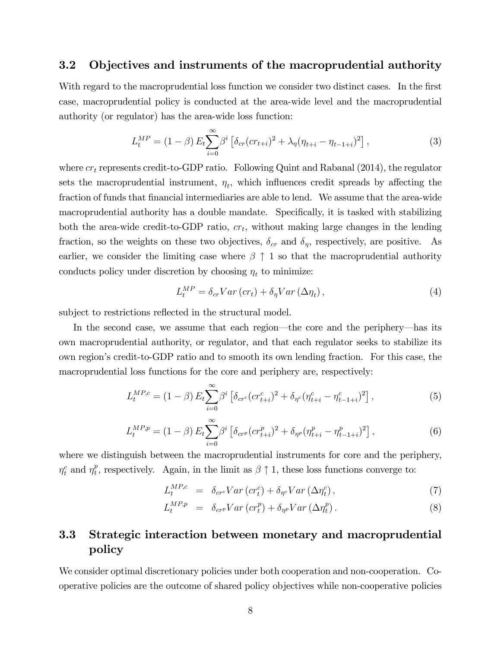#### 3.2 Objectives and instruments of the macroprudential authority

With regard to the macroprudential loss function we consider two distinct cases. In the first case, macroprudential policy is conducted at the area-wide level and the macroprudential authority (or regulator) has the area-wide loss function:

$$
L_t^{MP} = (1 - \beta) E_t \sum_{i=0}^{\infty} \beta^i \left[ \delta_{cr} (c r_{t+i})^2 + \lambda_{\eta} (\eta_{t+i} - \eta_{t-1+i})^2 \right],
$$
 (3)

where  $cr_t$  represents credit-to-GDP ratio. Following Quint and Rabanal (2014), the regulator sets the macroprudential instrument,  $\eta_t$ , which influences credit spreads by affecting the fraction of funds that financial intermediaries are able to lend. We assume that the area-wide macroprudential authority has a double mandate. Specifically, it is tasked with stabilizing both the area-wide credit-to-GDP ratio,  $cr_t$ , without making large changes in the lending fraction, so the weights on these two objectives,  $\delta_{cr}$  and  $\delta_{\eta}$ , respectively, are positive. As earlier, we consider the limiting case where  $\beta \uparrow 1$  so that the macroprudential authority conducts policy under discretion by choosing  $\eta_t$  to minimize:

$$
L_t^{MP} = \delta_{cr} Var\left( cr_t\right) + \delta_{\eta} Var\left(\Delta \eta_t\right),\tag{4}
$$

subject to restrictions reflected in the structural model.

In the second case, we assume that each region—the core and the periphery—has its own macroprudential authority, or regulator, and that each regulator seeks to stabilize its own regionís credit-to-GDP ratio and to smooth its own lending fraction. For this case, the macroprudential loss functions for the core and periphery are, respectively:

$$
L_t^{MP,c} = (1 - \beta) E_t \sum_{i=0}^{\infty} \beta^i \left[ \delta_{cr} (c r_{t+i}^c)^2 + \delta_{\eta^c} (\eta_{t+i}^c - \eta_{t-1+i}^c)^2 \right], \tag{5}
$$

$$
L_t^{MP,p} = (1 - \beta) E_t \sum_{i=0}^{\infty} \beta^i \left[ \delta_{crp} (cr_{t+i}^p)^2 + \delta_{\eta^p} (\eta_{t+i}^p - \eta_{t-1+i}^p)^2 \right], \tag{6}
$$

where we distinguish between the macroprudential instruments for core and the periphery,  $\eta_t^c$  and  $\eta_t^p$ <sup>p</sup>, respectively. Again, in the limit as  $\beta \uparrow 1$ , these loss functions converge to:

$$
L_t^{MP,c} = \delta_{cr} Var\left( cr_t^c \right) + \delta_{\eta^c} Var\left( \Delta \eta_t^c \right), \tag{7}
$$

$$
L_t^{MP,p} = \delta_{crp} Var\left( cr_t^p \right) + \delta_{\eta^p} Var\left( \Delta \eta_t^p \right). \tag{8}
$$

### 3.3 Strategic interaction between monetary and macroprudential policy

We consider optimal discretionary policies under both cooperation and non-cooperation. Cooperative policies are the outcome of shared policy objectives while non-cooperative policies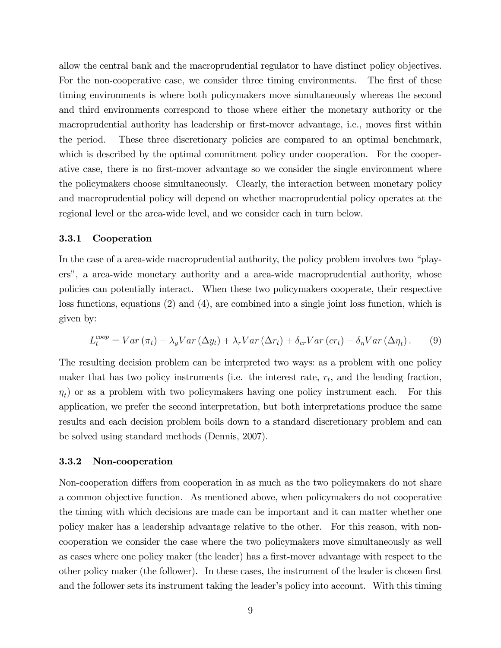allow the central bank and the macroprudential regulator to have distinct policy objectives. For the non-cooperative case, we consider three timing environments. The first of these timing environments is where both policymakers move simultaneously whereas the second and third environments correspond to those where either the monetary authority or the macroprudential authority has leadership or first-mover advantage, i.e., moves first within the period. These three discretionary policies are compared to an optimal benchmark, which is described by the optimal commitment policy under cooperation. For the cooperative case, there is no first-mover advantage so we consider the single environment where the policymakers choose simultaneously. Clearly, the interaction between monetary policy and macroprudential policy will depend on whether macroprudential policy operates at the regional level or the area-wide level, and we consider each in turn below.

#### 3.3.1 Cooperation

In the case of a area-wide macroprudential authority, the policy problem involves two "playersî, a area-wide monetary authority and a area-wide macroprudential authority, whose policies can potentially interact. When these two policymakers cooperate, their respective loss functions, equations (2) and (4), are combined into a single joint loss function, which is given by:

$$
L_t^{coop} = Var\left(\pi_t\right) + \lambda_y Var\left(\Delta y_t\right) + \lambda_r Var\left(\Delta r_t\right) + \delta_{cr} Var\left(c r_t\right) + \delta_\eta Var\left(\Delta \eta_t\right). \tag{9}
$$

The resulting decision problem can be interpreted two ways: as a problem with one policy maker that has two policy instruments (i.e. the interest rate,  $r_t$ , and the lending fraction,  $\eta_t$ ) or as a problem with two policymakers having one policy instrument each. For this application, we prefer the second interpretation, but both interpretations produce the same results and each decision problem boils down to a standard discretionary problem and can be solved using standard methods (Dennis, 2007).

#### 3.3.2 Non-cooperation

Non-cooperation differs from cooperation in as much as the two policymakers do not share a common objective function. As mentioned above, when policymakers do not cooperative the timing with which decisions are made can be important and it can matter whether one policy maker has a leadership advantage relative to the other. For this reason, with noncooperation we consider the case where the two policymakers move simultaneously as well as cases where one policy maker (the leader) has a first-mover advantage with respect to the other policy maker (the follower). In these cases, the instrument of the leader is chosen first and the follower sets its instrument taking the leader's policy into account. With this timing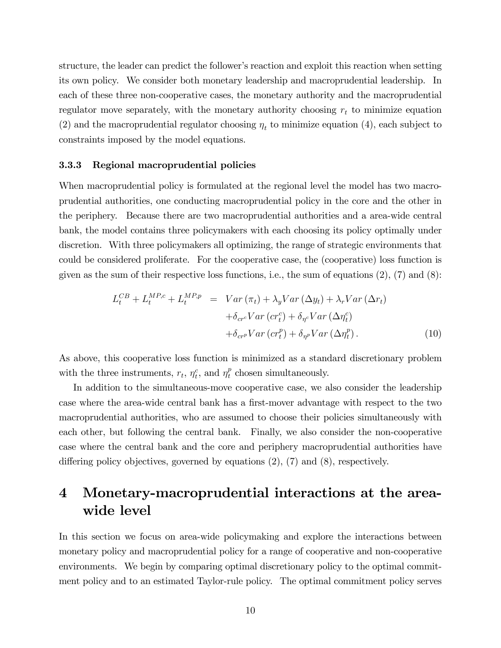structure, the leader can predict the follower's reaction and exploit this reaction when setting its own policy. We consider both monetary leadership and macroprudential leadership. In each of these three non-cooperative cases, the monetary authority and the macroprudential regulator move separately, with the monetary authority choosing  $r_t$  to minimize equation (2) and the macroprudential regulator choosing  $\eta_t$  to minimize equation (4), each subject to constraints imposed by the model equations.

#### 3.3.3 Regional macroprudential policies

When macroprudential policy is formulated at the regional level the model has two macroprudential authorities, one conducting macroprudential policy in the core and the other in the periphery. Because there are two macroprudential authorities and a area-wide central bank, the model contains three policymakers with each choosing its policy optimally under discretion. With three policymakers all optimizing, the range of strategic environments that could be considered proliferate. For the cooperative case, the (cooperative) loss function is given as the sum of their respective loss functions, i.e., the sum of equations  $(2)$ ,  $(7)$  and  $(8)$ :

$$
L_t^{CB} + L_t^{MP,c} + L_t^{MP,p} = Var(\pi_t) + \lambda_y Var(\Delta y_t) + \lambda_r Var(\Delta r_t) + \delta_{cr} Var(c r_t^c) + \delta_{\eta^c} Var(\Delta \eta_t^c) + \delta_{cr} Var(c r_t^p) + \delta_{\eta^p} Var(\Delta \eta_t^p).
$$
 (10)

As above, this cooperative loss function is minimized as a standard discretionary problem with the three instruments,  $r_t$ ,  $\eta_t^c$ , and  $\eta_t^p$  $t$ <sup>*e*</sup> chosen simultaneously.

In addition to the simultaneous-move cooperative case, we also consider the leadership case where the area-wide central bank has a first-mover advantage with respect to the two macroprudential authorities, who are assumed to choose their policies simultaneously with each other, but following the central bank. Finally, we also consider the non-cooperative case where the central bank and the core and periphery macroprudential authorities have differing policy objectives, governed by equations  $(2)$ ,  $(7)$  and  $(8)$ , respectively.

# 4 Monetary-macroprudential interactions at the areawide level

In this section we focus on area-wide policymaking and explore the interactions between monetary policy and macroprudential policy for a range of cooperative and non-cooperative environments. We begin by comparing optimal discretionary policy to the optimal commitment policy and to an estimated Taylor-rule policy. The optimal commitment policy serves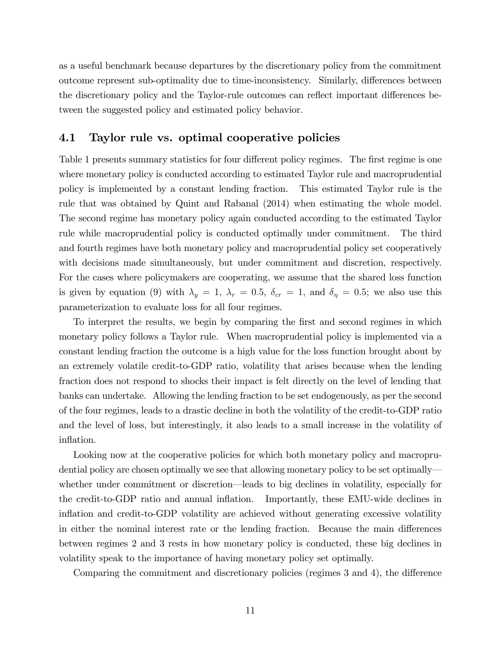as a useful benchmark because departures by the discretionary policy from the commitment outcome represent sub-optimality due to time-inconsistency. Similarly, differences between the discretionary policy and the Taylor-rule outcomes can reflect important differences between the suggested policy and estimated policy behavior.

#### 4.1 Taylor rule vs. optimal cooperative policies

Table 1 presents summary statistics for four different policy regimes. The first regime is one where monetary policy is conducted according to estimated Taylor rule and macroprudential policy is implemented by a constant lending fraction. This estimated Taylor rule is the rule that was obtained by Quint and Rabanal (2014) when estimating the whole model. The second regime has monetary policy again conducted according to the estimated Taylor rule while macroprudential policy is conducted optimally under commitment. The third and fourth regimes have both monetary policy and macroprudential policy set cooperatively with decisions made simultaneously, but under commitment and discretion, respectively. For the cases where policymakers are cooperating, we assume that the shared loss function is given by equation (9) with  $\lambda_y = 1$ ,  $\lambda_r = 0.5$ ,  $\delta_{cr} = 1$ , and  $\delta_{\eta} = 0.5$ ; we also use this parameterization to evaluate loss for all four regimes.

To interpret the results, we begin by comparing the first and second regimes in which monetary policy follows a Taylor rule. When macroprudential policy is implemented via a constant lending fraction the outcome is a high value for the loss function brought about by an extremely volatile credit-to-GDP ratio, volatility that arises because when the lending fraction does not respond to shocks their impact is felt directly on the level of lending that banks can undertake. Allowing the lending fraction to be set endogenously, as per the second of the four regimes, leads to a drastic decline in both the volatility of the credit-to-GDP ratio and the level of loss, but interestingly, it also leads to a small increase in the volatility of inflation.

Looking now at the cooperative policies for which both monetary policy and macroprudential policy are chosen optimally we see that allowing monetary policy to be set optimally whether under commitment or discretion—leads to big declines in volatility, especially for the credit-to-GDP ratio and annual ináation. Importantly, these EMU-wide declines in inflation and credit-to-GDP volatility are achieved without generating excessive volatility in either the nominal interest rate or the lending fraction. Because the main differences between regimes 2 and 3 rests in how monetary policy is conducted, these big declines in volatility speak to the importance of having monetary policy set optimally.

Comparing the commitment and discretionary policies (regimes  $3$  and  $4$ ), the difference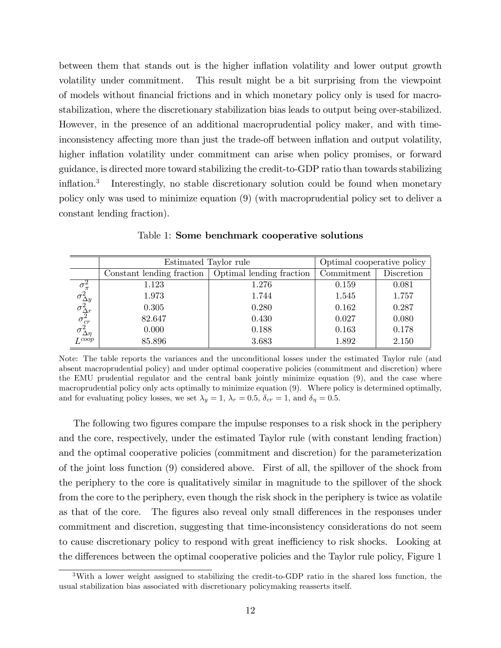between them that stands out is the higher inflation volatility and lower output growth volatility under commitment. This result might be a bit surprising from the viewpoint of models without Önancial frictions and in which monetary policy only is used for macrostabilization, where the discretionary stabilization bias leads to output being over-stabilized. However, in the presence of an additional macroprudential policy maker, and with timeinconsistency affecting more than just the trade-off between inflation and output volatility, higher inflation volatility under commitment can arise when policy promises, or forward guidance, is directed more toward stabilizing the credit-to-GDP ratio than towards stabilizing inflation.<sup>3</sup> Interestingly, no stable discretionary solution could be found when monetary policy only was used to minimize equation (9) (with macroprudential policy set to deliver a constant lending fraction).

|                                                                                                                 | Estimated Taylor rule     | Optimal cooperative policy             |       |            |
|-----------------------------------------------------------------------------------------------------------------|---------------------------|----------------------------------------|-------|------------|
|                                                                                                                 | Constant lending fraction | Optimal lending fraction<br>Commitment |       | Discretion |
|                                                                                                                 | 1.123                     | 1.276                                  | 0.159 | 0.081      |
|                                                                                                                 | 1.973                     | 1.744                                  | 1.545 | 1.757      |
|                                                                                                                 | 0.305                     | 0.280                                  | 0.162 | 0.287      |
|                                                                                                                 | 82.647                    | 0.430                                  | 0.027 | 0.080      |
| $\sigma_\pi^2$<br>$\sigma_{\Delta y}^2$<br>$\sigma_{\Delta r}^2$<br>$\sigma_{cr}^2$<br>$\sigma_{\Delta \eta}^2$ | 0.000                     | 0.188                                  | 0.163 | 0.178      |
| $I_{c}^{coop}$                                                                                                  | 85.896                    | 3.683                                  | 1.892 | 2.150      |

Table 1: Some benchmark cooperative solutions

Note: The table reports the variances and the unconditional losses under the estimated Taylor rule (and absent macroprudential policy) and under optimal cooperative policies (commitment and discretion) where the EMU prudential regulator and the central bank jointly minimize equation (9), and the case where macroprudential policy only acts optimally to minimize equation (9). Where policy is determined optimally, and for evaluating policy losses, we set  $\lambda_y = 1$ ,  $\lambda_r = 0.5$ ,  $\delta_{cr} = 1$ , and  $\delta_{\eta} = 0.5$ .

The following two figures compare the impulse responses to a risk shock in the periphery and the core, respectively, under the estimated Taylor rule (with constant lending fraction) and the optimal cooperative policies (commitment and discretion) for the parameterization of the joint loss function (9) considered above. First of all, the spillover of the shock from the periphery to the core is qualitatively similar in magnitude to the spillover of the shock from the core to the periphery, even though the risk shock in the periphery is twice as volatile as that of the core. The figures also reveal only small differences in the responses under commitment and discretion, suggesting that time-inconsistency considerations do not seem to cause discretionary policy to respond with great inefficiency to risk shocks. Looking at the differences between the optimal cooperative policies and the Taylor rule policy, Figure 1

<sup>3</sup>With a lower weight assigned to stabilizing the credit-to-GDP ratio in the shared loss function, the usual stabilization bias associated with discretionary policymaking reasserts itself.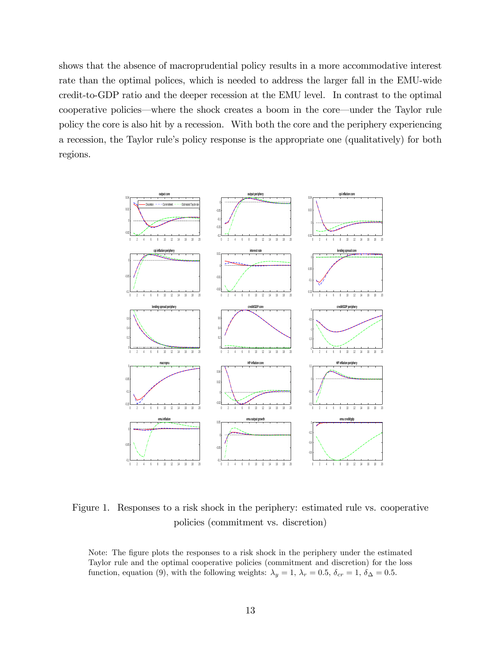shows that the absence of macroprudential policy results in a more accommodative interest rate than the optimal polices, which is needed to address the larger fall in the EMU-wide credit-to-GDP ratio and the deeper recession at the EMU level. In contrast to the optimal cooperative policies—where the shock creates a boom in the core—under the Taylor rule policy the core is also hit by a recession. With both the core and the periphery experiencing a recession, the Taylor ruleís policy response is the appropriate one (qualitatively) for both regions.



Figure 1. Responses to a risk shock in the periphery: estimated rule vs. cooperative policies (commitment vs. discretion)

Note: The figure plots the responses to a risk shock in the periphery under the estimated Taylor rule and the optimal cooperative policies (commitment and discretion) for the loss function, equation (9), with the following weights:  $\lambda_y = 1$ ,  $\lambda_r = 0.5$ ,  $\delta_{cr} = 1$ ,  $\delta_{\Delta} = 0.5$ .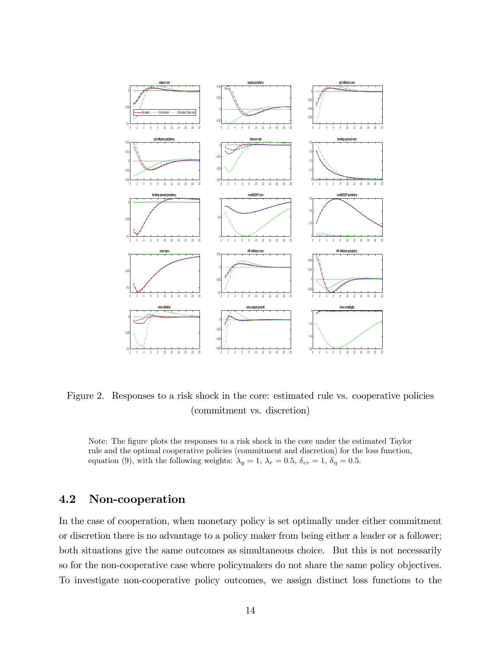

Figure 2. Responses to a risk shock in the core: estimated rule vs. cooperative policies (commitment vs. discretion)

Note: The figure plots the responses to a risk shock in the core under the estimated Taylor rule and the optimal cooperative policies (commitment and discretion) for the loss function, equation (9), with the following weights:  $\lambda_y = 1, \lambda_r = 0.5, \delta_{cr} = 1, \delta_{\eta} = 0.5$ .

### 4.2 Non-cooperation

In the case of cooperation, when monetary policy is set optimally under either commitment or discretion there is no advantage to a policy maker from being either a leader or a follower; both situations give the same outcomes as simultaneous choice. But this is not necessarily so for the non-cooperative case where policymakers do not share the same policy objectives. To investigate non-cooperative policy outcomes, we assign distinct loss functions to the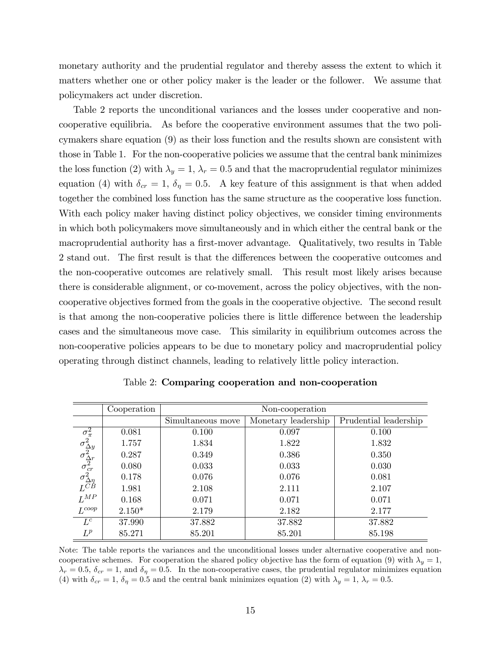monetary authority and the prudential regulator and thereby assess the extent to which it matters whether one or other policy maker is the leader or the follower. We assume that policymakers act under discretion.

Table 2 reports the unconditional variances and the losses under cooperative and noncooperative equilibria. As before the cooperative environment assumes that the two policymakers share equation (9) as their loss function and the results shown are consistent with those in Table 1. For the non-cooperative policies we assume that the central bank minimizes the loss function (2) with  $\lambda_y = 1$ ,  $\lambda_r = 0.5$  and that the macroprudential regulator minimizes equation (4) with  $\delta_{cr} = 1, \delta_{\eta} = 0.5$ . A key feature of this assignment is that when added together the combined loss function has the same structure as the cooperative loss function. With each policy maker having distinct policy objectives, we consider timing environments in which both policymakers move simultaneously and in which either the central bank or the macroprudential authority has a first-mover advantage. Qualitatively, two results in Table 2 stand out. The first result is that the differences between the cooperative outcomes and the non-cooperative outcomes are relatively small. This result most likely arises because there is considerable alignment, or co-movement, across the policy objectives, with the noncooperative objectives formed from the goals in the cooperative objective. The second result is that among the non-cooperative policies there is little difference between the leadership cases and the simultaneous move case. This similarity in equilibrium outcomes across the non-cooperative policies appears to be due to monetary policy and macroprudential policy operating through distinct channels, leading to relatively little policy interaction.

|                                                                                                                                | Cooperation | Non-cooperation   |                     |                       |
|--------------------------------------------------------------------------------------------------------------------------------|-------------|-------------------|---------------------|-----------------------|
|                                                                                                                                |             | Simultaneous move | Monetary leadership | Prudential leadership |
|                                                                                                                                | 0.081       | 0.100             | 0.097               | 0.100                 |
| $\sigma_{\pi}^2 \ \sigma_{\Delta y}^2 \ \sigma_{\Delta r}^2 \ \sigma_{cr}^2 \ \sigma_{\Delta \eta}^2 \ \sigma_{CD}^2 \ L^{CB}$ | 1.757       | 1.834             | 1.822               | 1.832                 |
|                                                                                                                                | 0.287       | 0.349             | 0.386               | 0.350                 |
|                                                                                                                                | 0.080       | 0.033             | 0.033               | 0.030                 |
|                                                                                                                                | 0.178       | 0.076             | 0.076               | 0.081                 |
|                                                                                                                                | 1.981       | 2.108             | 2.111               | 2.107                 |
| $L^{MP}$                                                                                                                       | 0.168       | 0.071             | 0.071               | 0.071                 |
| $L^{coop}$                                                                                                                     | $2.150*$    | 2.179             | 2.182               | 2.177                 |
| $L^c$                                                                                                                          | 37.990      | 37.882            | 37.882              | 37.882                |
| $L^p$                                                                                                                          | 85.271      | 85.201            | 85.201              | 85.198                |

Table 2: Comparing cooperation and non-cooperation

Note: The table reports the variances and the unconditional losses under alternative cooperative and noncooperative schemes. For cooperation the shared policy objective has the form of equation (9) with  $\lambda_y = 1$ ,  $\lambda_r = 0.5$ ,  $\delta_{cr} = 1$ , and  $\delta_{\eta} = 0.5$ . In the non-cooperative cases, the prudential regulator minimizes equation (4) with  $\delta_{cr} = 1, \delta_{\eta} = 0.5$  and the central bank minimizes equation (2) with  $\lambda_y = 1, \lambda_r = 0.5$ .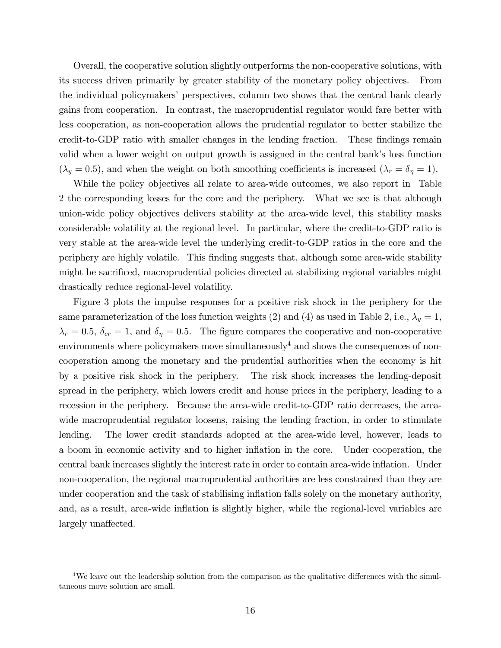Overall, the cooperative solution slightly outperforms the non-cooperative solutions, with its success driven primarily by greater stability of the monetary policy objectives. From the individual policymakers' perspectives, column two shows that the central bank clearly gains from cooperation. In contrast, the macroprudential regulator would fare better with less cooperation, as non-cooperation allows the prudential regulator to better stabilize the credit-to-GDP ratio with smaller changes in the lending fraction. These findings remain valid when a lower weight on output growth is assigned in the central bank's loss function  $(\lambda_y = 0.5)$ , and when the weight on both smoothing coefficients is increased  $(\lambda_r = \delta_\eta = 1)$ .

While the policy objectives all relate to area-wide outcomes, we also report in Table 2 the corresponding losses for the core and the periphery. What we see is that although union-wide policy objectives delivers stability at the area-wide level, this stability masks considerable volatility at the regional level. In particular, where the credit-to-GDP ratio is very stable at the area-wide level the underlying credit-to-GDP ratios in the core and the periphery are highly volatile. This Önding suggests that, although some area-wide stability might be sacrificed, macroprudential policies directed at stabilizing regional variables might drastically reduce regional-level volatility.

Figure 3 plots the impulse responses for a positive risk shock in the periphery for the same parameterization of the loss function weights (2) and (4) as used in Table 2, i.e.,  $\lambda_y = 1$ ,  $\lambda_r = 0.5$ ,  $\delta_{cr} = 1$ , and  $\delta_{\eta} = 0.5$ . The figure compares the cooperative and non-cooperative environments where policymakers move simultaneously<sup>4</sup> and shows the consequences of noncooperation among the monetary and the prudential authorities when the economy is hit by a positive risk shock in the periphery. The risk shock increases the lending-deposit spread in the periphery, which lowers credit and house prices in the periphery, leading to a recession in the periphery. Because the area-wide credit-to-GDP ratio decreases, the areawide macroprudential regulator loosens, raising the lending fraction, in order to stimulate lending. The lower credit standards adopted at the area-wide level, however, leads to a boom in economic activity and to higher ináation in the core. Under cooperation, the central bank increases slightly the interest rate in order to contain area-wide ináation. Under non-cooperation, the regional macroprudential authorities are less constrained than they are under cooperation and the task of stabilising inflation falls solely on the monetary authority, and, as a result, area-wide inflation is slightly higher, while the regional-level variables are largely unaffected.

<sup>&</sup>lt;sup>4</sup>We leave out the leadership solution from the comparison as the qualitative differences with the simultaneous move solution are small.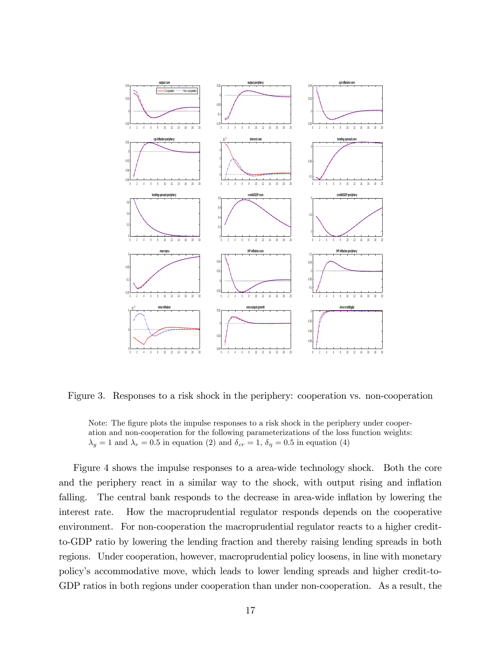

Figure 3. Responses to a risk shock in the periphery: cooperation vs. non-cooperation

Note: The figure plots the impulse responses to a risk shock in the periphery under cooperation and non-cooperation for the following parameterizations of the loss function weights:  $\lambda_y = 1$  and  $\lambda_r = 0.5$  in equation (2) and  $\delta_{cr} = 1, \delta_{\eta} = 0.5$  in equation (4)

Figure 4 shows the impulse responses to a area-wide technology shock. Both the core and the periphery react in a similar way to the shock, with output rising and inflation falling. The central bank responds to the decrease in area-wide inflation by lowering the interest rate. How the macroprudential regulator responds depends on the cooperative environment. For non-cooperation the macroprudential regulator reacts to a higher creditto-GDP ratio by lowering the lending fraction and thereby raising lending spreads in both regions. Under cooperation, however, macroprudential policy loosens, in line with monetary policyís accommodative move, which leads to lower lending spreads and higher credit-to-GDP ratios in both regions under cooperation than under non-cooperation. As a result, the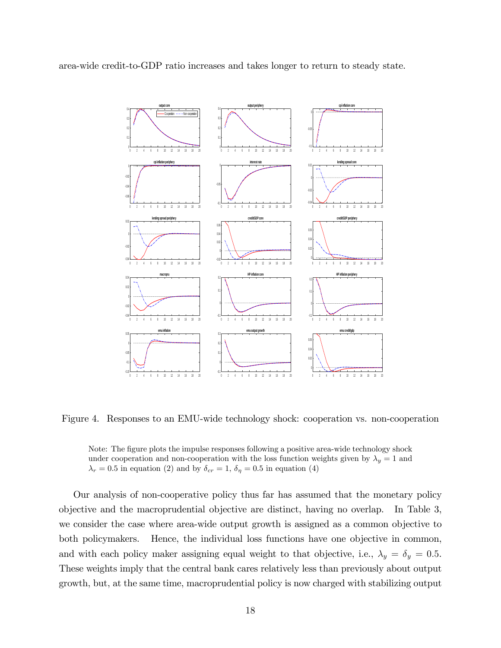area-wide credit-to-GDP ratio increases and takes longer to return to steady state.



Figure 4. Responses to an EMU-wide technology shock: cooperation vs. non-cooperation



Our analysis of non-cooperative policy thus far has assumed that the monetary policy objective and the macroprudential objective are distinct, having no overlap. In Table 3, we consider the case where area-wide output growth is assigned as a common objective to both policymakers. Hence, the individual loss functions have one objective in common, and with each policy maker assigning equal weight to that objective, i.e.,  $\lambda_y = \delta_y = 0.5$ . These weights imply that the central bank cares relatively less than previously about output growth, but, at the same time, macroprudential policy is now charged with stabilizing output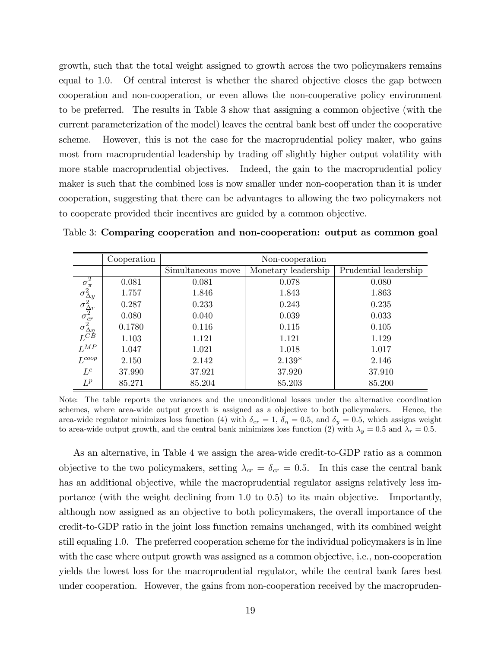growth, such that the total weight assigned to growth across the two policymakers remains equal to 1.0. Of central interest is whether the shared objective closes the gap between cooperation and non-cooperation, or even allows the non-cooperative policy environment to be preferred. The results in Table 3 show that assigning a common objective (with the current parameterization of the model) leaves the central bank best off under the cooperative scheme. However, this is not the case for the macroprudential policy maker, who gains most from macroprudential leadership by trading off slightly higher output volatility with more stable macroprudential objectives. Indeed, the gain to the macroprudential policy maker is such that the combined loss is now smaller under non-cooperation than it is under cooperation, suggesting that there can be advantages to allowing the two policymakers not to cooperate provided their incentives are guided by a common objective.

|                                                                                                                                | Cooperation | Non-cooperation   |                     |                       |
|--------------------------------------------------------------------------------------------------------------------------------|-------------|-------------------|---------------------|-----------------------|
|                                                                                                                                |             | Simultaneous move | Monetary leadership | Prudential leadership |
|                                                                                                                                | 0.081       | 0.081             | 0.078               | 0.080                 |
|                                                                                                                                | 1.757       | 1.846             | 1.843               | 1.863                 |
|                                                                                                                                | 0.287       | 0.233             | 0.243               | 0.235                 |
|                                                                                                                                | 0.080       | 0.040             | 0.039               | 0.033                 |
| $\sigma_{\pi}^2 \ \sigma_{\Delta y}^2 \ \sigma_{\Delta r}^2 \ \sigma_{cr}^2 \ \sigma_{\Delta \eta}^2 \ \sigma_{CD}^2 \ L^{CB}$ | 0.1780      | 0.116             | 0.115               | 0.105                 |
|                                                                                                                                | 1.103       | 1.121             | 1.121               | 1.129                 |
| $L^{MP}$                                                                                                                       | 1.047       | 1.021             | 1.018               | 1.017                 |
| $L^{coop}$                                                                                                                     | 2.150       | 2.142             | $2.139*$            | 2.146                 |
| $L^c$                                                                                                                          | 37.990      | 37.921            | 37.920              | 37.910                |
| $L^p$                                                                                                                          | 85.271      | 85.204            | 85.203              | 85.200                |

Table 3: Comparing cooperation and non-cooperation: output as common goal

Note: The table reports the variances and the unconditional losses under the alternative coordination schemes, where area-wide output growth is assigned as a objective to both policymakers. Hence, the area-wide regulator minimizes loss function (4) with  $\delta_{cr} = 1$ ,  $\delta_{\eta} = 0.5$ , and  $\delta_{y} = 0.5$ , which assigns weight to area-wide output growth, and the central bank minimizes loss function (2) with  $\lambda_y = 0.5$  and  $\lambda_r = 0.5$ .

As an alternative, in Table 4 we assign the area-wide credit-to-GDP ratio as a common objective to the two policymakers, setting  $\lambda_{cr} = \delta_{cr} = 0.5$ . In this case the central bank has an additional objective, while the macroprudential regulator assigns relatively less importance (with the weight declining from 1:0 to 0:5) to its main objective. Importantly, although now assigned as an objective to both policymakers, the overall importance of the credit-to-GDP ratio in the joint loss function remains unchanged, with its combined weight still equaling 1:0. The preferred cooperation scheme for the individual policymakers is in line with the case where output growth was assigned as a common objective, i.e., non-cooperation yields the lowest loss for the macroprudential regulator, while the central bank fares best under cooperation. However, the gains from non-cooperation received by the macropruden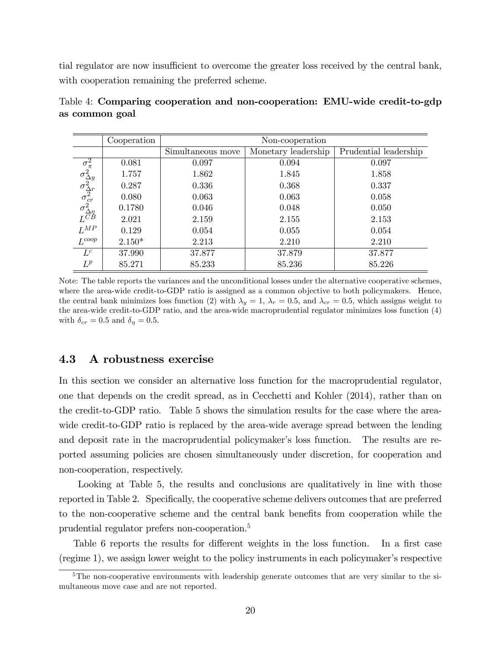tial regulator are now insufficient to overcome the greater loss received by the central bank, with cooperation remaining the preferred scheme.

|                                                                                                                                | Cooperation | Non-cooperation   |                     |                       |
|--------------------------------------------------------------------------------------------------------------------------------|-------------|-------------------|---------------------|-----------------------|
|                                                                                                                                |             | Simultaneous move | Monetary leadership | Prudential leadership |
|                                                                                                                                | 0.081       | 0.097             | 0.094               | 0.097                 |
|                                                                                                                                | 1.757       | 1.862             | 1.845               | 1.858                 |
| $\sigma_{\pi}^2 \ \sigma_{\Delta y}^2 \ \sigma_{\Delta r}^2 \ \sigma_{cr}^2 \ \sigma_{\Delta \eta}^2 \ \sigma_{CD}^2 \ L^{CB}$ | 0.287       | 0.336             | 0.368               | 0.337                 |
|                                                                                                                                | 0.080       | 0.063             | 0.063               | 0.058                 |
|                                                                                                                                | 0.1780      | 0.046             | 0.048               | 0.050                 |
|                                                                                                                                | 2.021       | 2.159             | 2.155               | 2.153                 |
| $L^{MP}$                                                                                                                       | 0.129       | 0.054             | 0.055               | 0.054                 |
| $L^{coop}$                                                                                                                     | $2.150*$    | 2.213             | 2.210               | 2.210                 |
| $L^c$                                                                                                                          | 37.990      | 37.877            | 37.879              | 37.877                |
| $L^p$                                                                                                                          | 85.271      | 85.233            | 85.236              | 85.226                |

Table 4: Comparing cooperation and non-cooperation: EMU-wide credit-to-gdp as common goal

Note: The table reports the variances and the unconditional losses under the alternative cooperative schemes, where the area-wide credit-to-GDP ratio is assigned as a common objective to both policymakers. Hence, the central bank minimizes loss function (2) with  $\lambda_y = 1$ ,  $\lambda_r = 0.5$ , and  $\lambda_{cr} = 0.5$ , which assigns weight to the area-wide credit-to-GDP ratio, and the area-wide macroprudential regulator minimizes loss function (4) with  $\delta_{cr} = 0.5$  and  $\delta_{\eta} = 0.5$ .

#### 4.3 A robustness exercise

In this section we consider an alternative loss function for the macroprudential regulator, one that depends on the credit spread, as in Cecchetti and Kohler (2014), rather than on the credit-to-GDP ratio. Table 5 shows the simulation results for the case where the areawide credit-to-GDP ratio is replaced by the area-wide average spread between the lending and deposit rate in the macroprudential policymaker's loss function. The results are reported assuming policies are chosen simultaneously under discretion, for cooperation and non-cooperation, respectively.

Looking at Table 5, the results and conclusions are qualitatively in line with those reported in Table 2. Specifically, the cooperative scheme delivers outcomes that are preferred to the non-cooperative scheme and the central bank benefits from cooperation while the prudential regulator prefers non-cooperation.<sup>5</sup>

Table 6 reports the results for different weights in the loss function. In a first case  $(\text{regime 1})$ , we assign lower weight to the policy instruments in each policymaker's respective

<sup>&</sup>lt;sup>5</sup>The non-cooperative environments with leadership generate outcomes that are very similar to the simultaneous move case and are not reported.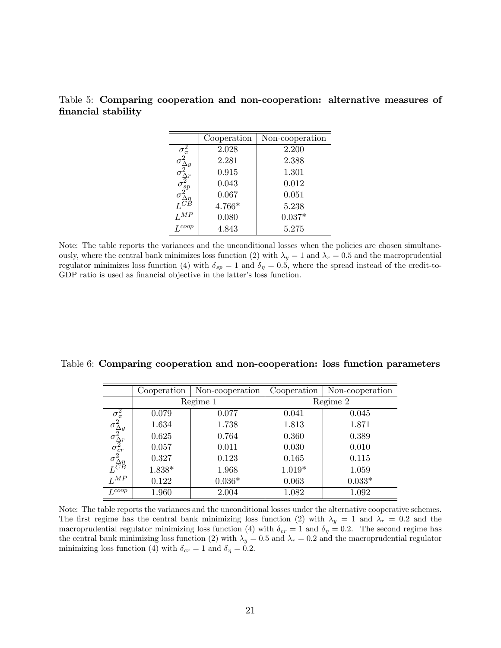|                                                                                               | Cooperation | Non-cooperation |
|-----------------------------------------------------------------------------------------------|-------------|-----------------|
| $\sigma_{\pi}^2$                                                                              | 2.028       | 2.200           |
|                                                                                               | 2.281       | 2.388           |
|                                                                                               | 0.915       | 1.301           |
|                                                                                               | 0.043       | 0.012           |
| $\sigma_{\Delta y}^0 \ \sigma_{\Delta r}^2 \ \sigma_{sp}^2 \ \sigma_{\Delta \eta}^2 \ L^{CB}$ | 0.067       | 0.051           |
|                                                                                               | 4.766*      | 5.238           |
| $\overline{L}^{MP}$                                                                           | 0.080       | $0.037*$        |
| $I_{c}^{coop}$                                                                                | 4.843       | 5.275           |

Table 5: Comparing cooperation and non-cooperation: alternative measures of financial stability

Note: The table reports the variances and the unconditional losses when the policies are chosen simultaneously, where the central bank minimizes loss function (2) with  $\lambda_y = 1$  and  $\lambda_r = 0.5$  and the macroprudential regulator minimizes loss function (4) with  $\delta_{sp} = 1$  and  $\delta_{\eta} = 0.5$ , where the spread instead of the credit-to-GDP ratio is used as financial objective in the latter's loss function.

|  |  | Table 6: Comparing cooperation and non-cooperation: loss function parameters |  |  |
|--|--|------------------------------------------------------------------------------|--|--|
|  |  |                                                                              |  |  |

|                                                                                                                               | Cooperation | Non-cooperation | Cooperation | Non-cooperation |  |
|-------------------------------------------------------------------------------------------------------------------------------|-------------|-----------------|-------------|-----------------|--|
|                                                                                                                               | Regime 1    |                 | Regime 2    |                 |  |
|                                                                                                                               | 0.079       | 0.077           | 0.041       | 0.045           |  |
|                                                                                                                               | 1.634       | 1.738           | 1.813       | 1.871           |  |
| $\sigma_{\pi}^2$<br>$\sigma_{\Delta y}^2$<br>$\sigma_{\Delta r}^2$<br>$\sigma_{cr}^2$<br>$\sigma_{\Delta \eta}^2$<br>$L^{CB}$ | 0.625       | 0.764           | 0.360       | 0.389           |  |
|                                                                                                                               | 0.057       | 0.011           | 0.030       | 0.010           |  |
|                                                                                                                               | 0.327       | 0.123           | 0.165       | 0.115           |  |
|                                                                                                                               | $1.838*$    | 1.968           | $1.019*$    | 1.059           |  |
| $L^{MP}$                                                                                                                      | 0.122       | $0.036*$        | 0.063       | $0.033*$        |  |
| $I_{c}$ coop                                                                                                                  | 1.960       | 2.004           | 1.082       | 1.092           |  |

Note: The table reports the variances and the unconditional losses under the alternative cooperative schemes. The first regime has the central bank minimizing loss function (2) with  $\lambda_y = 1$  and  $\lambda_r = 0.2$  and the macroprudential regulator minimizing loss function (4) with  $\delta_{cr} = 1$  and  $\delta_{\eta} = 0.2$ . The second regime has the central bank minimizing loss function (2) with  $\lambda_y = 0.5$  and  $\lambda_r = 0.2$  and the macroprudential regulator minimizing loss function (4) with  $\delta_{cr} = 1$  and  $\delta_{\eta} = 0.2$ .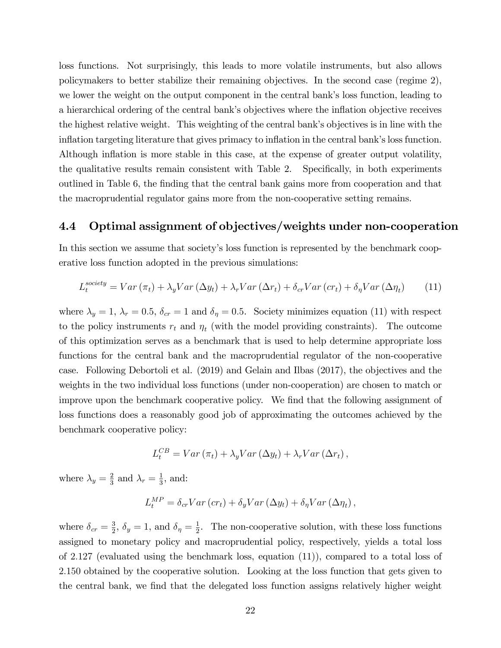loss functions. Not surprisingly, this leads to more volatile instruments, but also allows policymakers to better stabilize their remaining objectives. In the second case (regime 2), we lower the weight on the output component in the central bank's loss function, leading to a hierarchical ordering of the central bank's objectives where the inflation objective receives the highest relative weight. This weighting of the central bank's objectives is in line with the inflation targeting literature that gives primacy to inflation in the central bank's loss function. Although inflation is more stable in this case, at the expense of greater output volatility, the qualitative results remain consistent with Table 2. Specifically, in both experiments outlined in Table 6, the finding that the central bank gains more from cooperation and that the macroprudential regulator gains more from the non-cooperative setting remains.

### 4.4 Optimal assignment of objectives/weights under non-cooperation

In this section we assume that society's loss function is represented by the benchmark cooperative loss function adopted in the previous simulations:

$$
L_t^{society} = Var(\pi_t) + \lambda_y Var(\Delta y_t) + \lambda_r Var(\Delta r_t) + \delta_{cr} Var(r_t) + \delta_{\eta} Var(\Delta \eta_t)
$$
 (11)

where  $\lambda_y = 1$ ,  $\lambda_r = 0.5$ ,  $\delta_{cr} = 1$  and  $\delta_{\eta} = 0.5$ . Society minimizes equation (11) with respect to the policy instruments  $r_t$  and  $\eta_t$  (with the model providing constraints). The outcome of this optimization serves as a benchmark that is used to help determine appropriate loss functions for the central bank and the macroprudential regulator of the non-cooperative case. Following Debortoli et al. (2019) and Gelain and Ilbas (2017), the objectives and the weights in the two individual loss functions (under non-cooperation) are chosen to match or improve upon the benchmark cooperative policy. We find that the following assignment of loss functions does a reasonably good job of approximating the outcomes achieved by the benchmark cooperative policy:

$$
L_t^{CB} = Var\left(\pi_t\right) + \lambda_y Var\left(\Delta y_t\right) + \lambda_r Var\left(\Delta r_t\right),
$$

where  $\lambda_y = \frac{2}{3}$  $rac{2}{3}$  and  $\lambda_r = \frac{1}{3}$  $\frac{1}{3}$ , and:

$$
L_t^{MP} = \delta_{cr} Var\left( cr_t \right) + \delta_y Var\left( \Delta y_t \right) + \delta_\eta Var\left( \Delta \eta_t \right),
$$

where  $\delta_{cr} = \frac{3}{2}$  $\frac{3}{2}$ ,  $\delta_y = 1$ , and  $\delta_\eta = \frac{1}{2}$  $\frac{1}{2}$ . The non-cooperative solution, with these loss functions assigned to monetary policy and macroprudential policy, respectively, yields a total loss of 2:127 (evaluated using the benchmark loss, equation (11)), compared to a total loss of 2:150 obtained by the cooperative solution. Looking at the loss function that gets given to the central bank, we find that the delegated loss function assigns relatively higher weight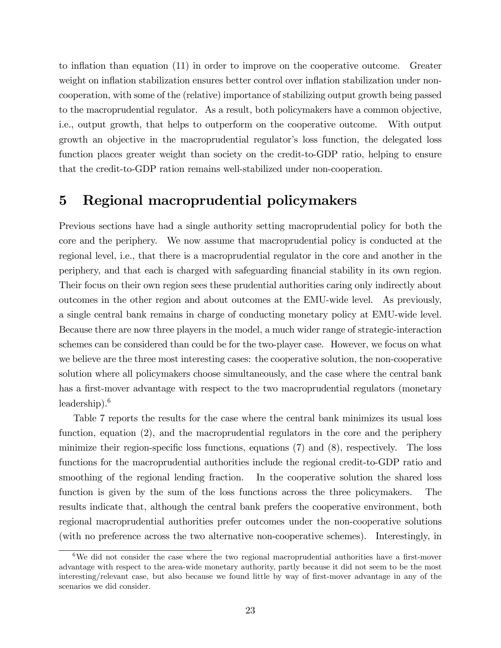to inflation than equation (11) in order to improve on the cooperative outcome. Greater weight on inflation stabilization ensures better control over inflation stabilization under noncooperation, with some of the (relative) importance of stabilizing output growth being passed to the macroprudential regulator. As a result, both policymakers have a common objective, i.e., output growth, that helps to outperform on the cooperative outcome. With output growth an objective in the macroprudential regulator's loss function, the delegated loss function places greater weight than society on the credit-to-GDP ratio, helping to ensure that the credit-to-GDP ration remains well-stabilized under non-cooperation.

## 5 Regional macroprudential policymakers

Previous sections have had a single authority setting macroprudential policy for both the core and the periphery. We now assume that macroprudential policy is conducted at the regional level, i.e., that there is a macroprudential regulator in the core and another in the periphery, and that each is charged with safeguarding Önancial stability in its own region. Their focus on their own region sees these prudential authorities caring only indirectly about outcomes in the other region and about outcomes at the EMU-wide level. As previously, a single central bank remains in charge of conducting monetary policy at EMU-wide level. Because there are now three players in the model, a much wider range of strategic-interaction schemes can be considered than could be for the two-player case. However, we focus on what we believe are the three most interesting cases: the cooperative solution, the non-cooperative solution where all policymakers choose simultaneously, and the case where the central bank has a first-mover advantage with respect to the two macroprudential regulators (monetary leadership). $6$ 

Table 7 reports the results for the case where the central bank minimizes its usual loss function, equation (2), and the macroprudential regulators in the core and the periphery minimize their region-specific loss functions, equations  $(7)$  and  $(8)$ , respectively. The loss functions for the macroprudential authorities include the regional credit-to-GDP ratio and smoothing of the regional lending fraction. In the cooperative solution the shared loss function is given by the sum of the loss functions across the three policymakers. The results indicate that, although the central bank prefers the cooperative environment, both regional macroprudential authorities prefer outcomes under the non-cooperative solutions (with no preference across the two alternative non-cooperative schemes). Interestingly, in

 $6$ We did not consider the case where the two regional macroprudential authorities have a first-mover advantage with respect to the area-wide monetary authority, partly because it did not seem to be the most interesting/relevant case, but also because we found little by way of first-mover advantage in any of the scenarios we did consider.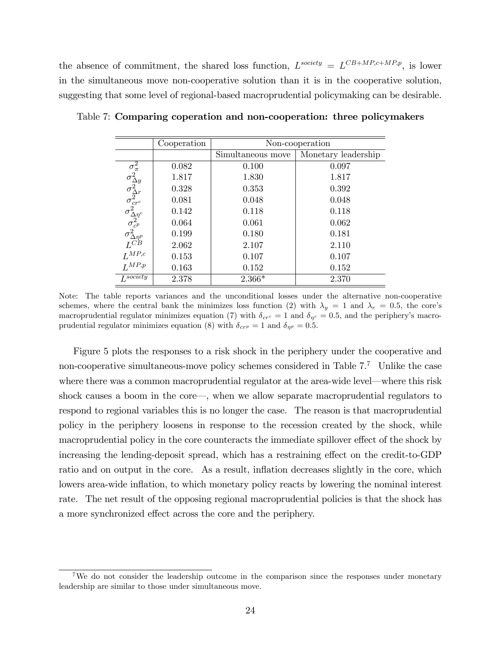the absence of commitment, the shared loss function,  $L^{society} = L^{CB+MP,c+MP,p}$ , is lower in the simultaneous move non-cooperative solution than it is in the cooperative solution, suggesting that some level of regional-based macroprudential policymaking can be desirable.

|                                                                                                                                                                                                                              | Cooperation | Non-cooperation   |                     |  |
|------------------------------------------------------------------------------------------------------------------------------------------------------------------------------------------------------------------------------|-------------|-------------------|---------------------|--|
|                                                                                                                                                                                                                              |             | Simultaneous move | Monetary leadership |  |
|                                                                                                                                                                                                                              | 0.082       | 0.100             | 0.097               |  |
| $\sigma_{\rm A}^2 \ \sigma_{\rm \Delta y}^2 \ \sigma_{\rm \Delta r}^2 \ \sigma_{\rm \Delta \gamma}^2 \ \sigma_{\rm \Delta \gamma^c}^2 \ \sigma_{\rm \Delta \gamma^p}^2 \ \sigma_{\rm \Delta \gamma^p}^2 \ L^{CP} \ L^{MP,p}$ | 1.817       | 1.830             | 1.817               |  |
|                                                                                                                                                                                                                              | 0.328       | 0.353             | 0.392               |  |
|                                                                                                                                                                                                                              | 0.081       | 0.048             | 0.048               |  |
|                                                                                                                                                                                                                              | 0.142       | 0.118             | 0.118               |  |
|                                                                                                                                                                                                                              | 0.064       | 0.061             | 0.062               |  |
|                                                                                                                                                                                                                              | 0.199       | 0.180             | 0.181               |  |
|                                                                                                                                                                                                                              | 2.062       | 2.107             | 2.110               |  |
|                                                                                                                                                                                                                              | 0.153       | 0.107             | 0.107               |  |
|                                                                                                                                                                                                                              | 0.163       | 0.152             | 0.152               |  |
| $\overline{L^{society}}$                                                                                                                                                                                                     | 2.378       | $2.366*$          | 2.370               |  |

Table 7: Comparing coperation and non-cooperation: three policymakers

Note: The table reports variances and the unconditional losses under the alternative non-cooperative schemes, where the central bank the minimizes loss function (2) with  $\lambda_y = 1$  and  $\lambda_r = 0.5$ , the core's macroprudential regulator minimizes equation (7) with  $\delta_{cr} = 1$  and  $\delta_{\eta^c} = 0.5$ , and the periphery's macroprudential regulator minimizes equation (8) with  $\delta_{cr} = 1$  and  $\delta_{\eta^p} = 0.5$ .

Figure 5 plots the responses to a risk shock in the periphery under the cooperative and non-cooperative simultaneous-move policy schemes considered in Table 7.<sup>7</sup> Unlike the case where there was a common macroprudential regulator at the area-wide level—where this risk shock causes a boom in the core $\rightarrow$ , when we allow separate macroprudential regulators to respond to regional variables this is no longer the case. The reason is that macroprudential policy in the periphery loosens in response to the recession created by the shock, while macroprudential policy in the core counteracts the immediate spillover effect of the shock by increasing the lending-deposit spread, which has a restraining effect on the credit-to-GDP ratio and on output in the core. As a result, inflation decreases slightly in the core, which lowers area-wide inflation, to which monetary policy reacts by lowering the nominal interest rate. The net result of the opposing regional macroprudential policies is that the shock has a more synchronized effect across the core and the periphery.

<sup>&</sup>lt;sup>7</sup>We do not consider the leadership outcome in the comparison since the responses under monetary leadership are similar to those under simultaneous move.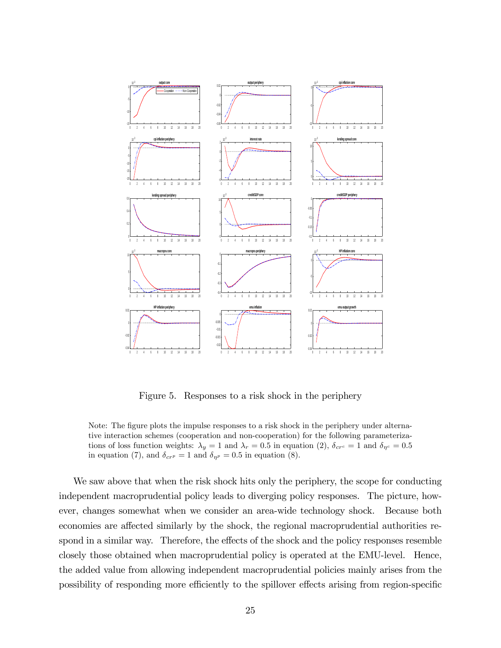

Figure 5. Responses to a risk shock in the periphery

We saw above that when the risk shock hits only the periphery, the scope for conducting independent macroprudential policy leads to diverging policy responses. The picture, however, changes somewhat when we consider an area-wide technology shock. Because both economies are affected similarly by the shock, the regional macroprudential authorities respond in a similar way. Therefore, the effects of the shock and the policy responses resemble closely those obtained when macroprudential policy is operated at the EMU-level. Hence, the added value from allowing independent macroprudential policies mainly arises from the possibility of responding more efficiently to the spillover effects arising from region-specific

Note: The figure plots the impulse responses to a risk shock in the periphery under alternative interaction schemes (cooperation and non-cooperation) for the following parameterizations of loss function weights:  $\lambda_y = 1$  and  $\lambda_r = 0.5$  in equation (2),  $\delta_{cr^c} = 1$  and  $\delta_{\eta^c} = 0.5$ in equation (7), and  $\delta_{crp} = 1$  and  $\delta_{\eta p} = 0.5$  in equation (8).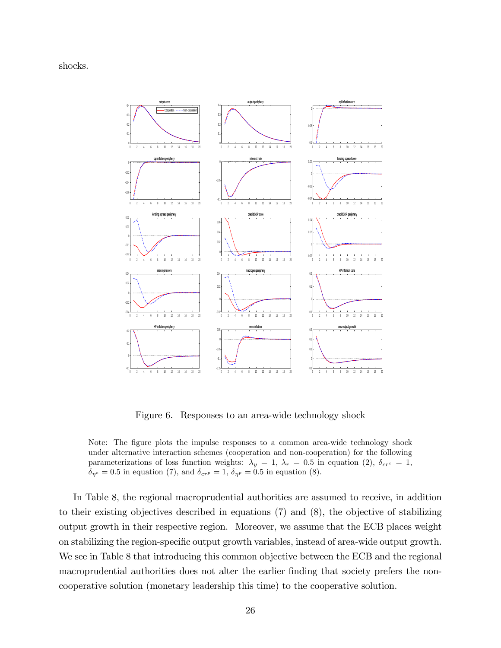shocks.



Figure 6. Responses to an area-wide technology shock

Note: The figure plots the impulse responses to a common area-wide technology shock under alternative interaction schemes (cooperation and non-cooperation) for the following parameterizations of loss function weights:  $\lambda_y = 1, \lambda_r = 0.5$  in equation (2),  $\delta_{crc} = 1$ ,  $\delta_{\eta^c} = 0.5$  in equation (7), and  $\delta_{crp} = 1$ ,  $\delta_{\eta^p} = 0.5$  in equation (8).

In Table 8, the regional macroprudential authorities are assumed to receive, in addition to their existing objectives described in equations (7) and (8), the objective of stabilizing output growth in their respective region. Moreover, we assume that the ECB places weight on stabilizing the region-specific output growth variables, instead of area-wide output growth. We see in Table 8 that introducing this common objective between the ECB and the regional macroprudential authorities does not alter the earlier finding that society prefers the noncooperative solution (monetary leadership this time) to the cooperative solution.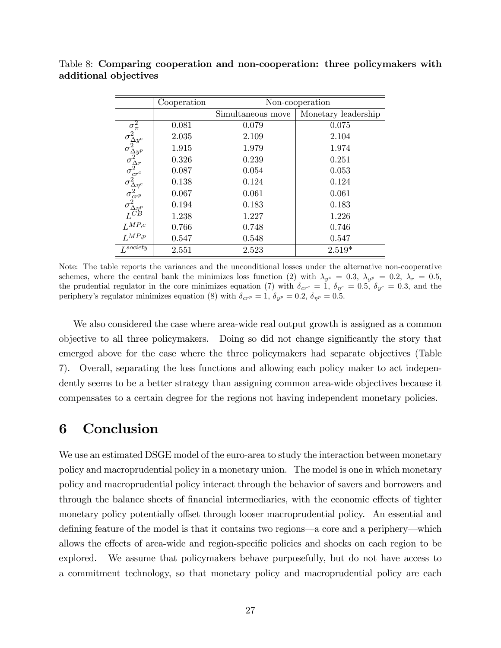|                                                                                                                                                                                                                 | Cooperation | Non-cooperation   |                     |  |
|-----------------------------------------------------------------------------------------------------------------------------------------------------------------------------------------------------------------|-------------|-------------------|---------------------|--|
|                                                                                                                                                                                                                 |             | Simultaneous move | Monetary leadership |  |
|                                                                                                                                                                                                                 | 0.081       | 0.079             | 0.075               |  |
|                                                                                                                                                                                                                 | 2.035       | 2.109             | 2.104               |  |
|                                                                                                                                                                                                                 | 1.915       | 1.979             | 1.974               |  |
|                                                                                                                                                                                                                 | 0.326       | 0.239             | 0.251               |  |
|                                                                                                                                                                                                                 | 0.087       | 0.054             | 0.053               |  |
| $\sigma_\text{avg}^2 \ \sigma_\text{avg}^2 \ \sigma_\text{avg}^2 \ \sigma_\text{avg}^2 \ \sigma_\text{core}^2 \ \sigma_\text{core}^2 \ \sigma_\text{core}^2 \ \textit{LSP}^2 \ \textit{LMP,c} \ \textit{LMP,p}$ | 0.138       | 0.124             | 0.124               |  |
|                                                                                                                                                                                                                 | 0.067       | 0.061             | 0.061               |  |
|                                                                                                                                                                                                                 | 0.194       | 0.183             | 0.183               |  |
|                                                                                                                                                                                                                 | 1.238       | 1.227             | 1.226               |  |
|                                                                                                                                                                                                                 | 0.766       | 0.748             | 0.746               |  |
|                                                                                                                                                                                                                 | 0.547       | 0.548             | 0.547               |  |
| $L^{society}$                                                                                                                                                                                                   | 2.551       | 2.523             | $2.519*$            |  |

Table 8: Comparing cooperation and non-cooperation: three policymakers with additional objectives

Note: The table reports the variances and the unconditional losses under the alternative non-cooperative schemes, where the central bank the minimizes loss function (2) with  $\lambda_{y^c} = 0.3$ ,  $\lambda_{y^p} = 0.2$ ,  $\lambda_r = 0.5$ , the prudential regulator in the core minimizes equation (7) with  $\delta_{cr} = 1$ ,  $\delta_{\eta^c} = 0.5$ ,  $\delta_{y^c} = 0.3$ , and the periphery's regulator minimizes equation (8) with  $\delta_{crp} = 1$ ,  $\delta_{y^p} = 0.2$ ,  $\delta_{\eta^p} = 0.5$ .

We also considered the case where area-wide real output growth is assigned as a common objective to all three policymakers. Doing so did not change significantly the story that emerged above for the case where the three policymakers had separate objectives (Table 7). Overall, separating the loss functions and allowing each policy maker to act independently seems to be a better strategy than assigning common area-wide objectives because it compensates to a certain degree for the regions not having independent monetary policies.

### 6 Conclusion

We use an estimated DSGE model of the euro-area to study the interaction between monetary policy and macroprudential policy in a monetary union. The model is one in which monetary policy and macroprudential policy interact through the behavior of savers and borrowers and through the balance sheets of financial intermediaries, with the economic effects of tighter monetary policy potentially offset through looser macroprudential policy. An essential and defining feature of the model is that it contains two regions—a core and a periphery—which allows the effects of area-wide and region-specific policies and shocks on each region to be explored. We assume that policymakers behave purposefully, but do not have access to a commitment technology, so that monetary policy and macroprudential policy are each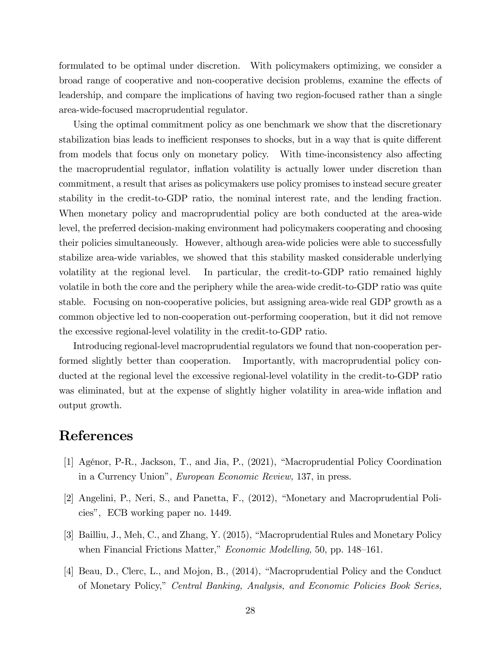formulated to be optimal under discretion. With policymakers optimizing, we consider a broad range of cooperative and non-cooperative decision problems, examine the effects of leadership, and compare the implications of having two region-focused rather than a single area-wide-focused macroprudential regulator.

Using the optimal commitment policy as one benchmark we show that the discretionary stabilization bias leads to inefficient responses to shocks, but in a way that is quite different from models that focus only on monetary policy. With time-inconsistency also affecting the macroprudential regulator, ináation volatility is actually lower under discretion than commitment, a result that arises as policymakers use policy promises to instead secure greater stability in the credit-to-GDP ratio, the nominal interest rate, and the lending fraction. When monetary policy and macroprudential policy are both conducted at the area-wide level, the preferred decision-making environment had policymakers cooperating and choosing their policies simultaneously. However, although area-wide policies were able to successfully stabilize area-wide variables, we showed that this stability masked considerable underlying volatility at the regional level. In particular, the credit-to-GDP ratio remained highly volatile in both the core and the periphery while the area-wide credit-to-GDP ratio was quite stable. Focusing on non-cooperative policies, but assigning area-wide real GDP growth as a common objective led to non-cooperation out-performing cooperation, but it did not remove the excessive regional-level volatility in the credit-to-GDP ratio.

Introducing regional-level macroprudential regulators we found that non-cooperation performed slightly better than cooperation. Importantly, with macroprudential policy conducted at the regional level the excessive regional-level volatility in the credit-to-GDP ratio was eliminated, but at the expense of slightly higher volatility in area-wide inflation and output growth.

### References

- [1] Agénor, P-R., Jackson, T., and Jia, P., (2021), "Macroprudential Policy Coordination in a Currency Union", European Economic Review, 137, in press.
- [2] Angelini, P., Neri, S., and Panetta, F., (2012), "Monetary and Macroprudential Policies", ECB working paper no. 1449.
- [3] Bailliu, J., Meh, C., and Zhang, Y. (2015), "Macroprudential Rules and Monetary Policy when Financial Frictions Matter," *Economic Modelling*, 50, pp.  $148-161$ .
- [4] Beau, D., Clerc, L., and Mojon, B., (2014), "Macroprudential Policy and the Conduct of Monetary Policy,î Central Banking, Analysis, and Economic Policies Book Series,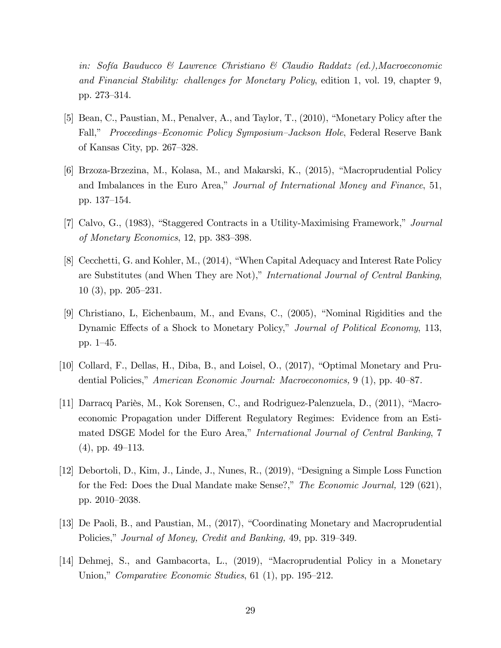in: Sofía Bauducco & Lawrence Christiano & Claudio Raddatz (ed.), Macroeconomic and Financial Stability: challenges for Monetary Policy, edition 1, vol. 19, chapter 9, pp. 273–314.

- [5] Bean, C., Paustian, M., Penalver, A., and Taylor, T., (2010), "Monetary Policy after the Fall," *Proceedings–Economic Policy Symposium–Jackson Hole*, Federal Reserve Bank of Kansas City, pp.  $267-328$ .
- [6] Brzoza-Brzezina, M., Kolasa, M., and Makarski, K.,  $(2015)$ , "Macroprudential Policy and Imbalances in the Euro Area," Journal of International Money and Finance, 51, pp. 137–154.
- [7] Calvo, G., (1983), "Staggered Contracts in a Utility-Maximising Framework," Journal of Monetary Economics, 12, pp.  $383-398$ .
- [8] Cecchetti, G. and Kohler, M., (2014), "When Capital Adequacy and Interest Rate Policy are Substitutes (and When They are Not)," International Journal of Central Banking,  $10(3)$ , pp.  $205-231$ .
- [9] Christiano, L, Eichenbaum, M., and Evans, C.,  $(2005)$ , "Nominal Rigidities and the Dynamic Effects of a Shock to Monetary Policy," Journal of Political Economy, 113, pp.  $1-45$ .
- [10] Collard, F., Dellas, H., Diba, B., and Loisel, O.,  $(2017)$ , "Optimal Monetary and Prudential Policies," American Economic Journal: Macroeconomics, 9 (1), pp.  $40-87$ .
- [11] Darracq Pariès, M., Kok Sorensen, C., and Rodriguez-Palenzuela, D., (2011), "Macroeconomic Propagation under Different Regulatory Regimes: Evidence from an Estimated DSGE Model for the Euro Area," International Journal of Central Banking, 7  $(4)$ , pp. 49–113.
- $[12]$  Debortoli, D., Kim, J., Linde, J., Nunes, R.,  $(2019)$ , "Designing a Simple Loss Function" for the Fed: Does the Dual Mandate make Sense?," The Economic Journal, 129 (621), pp. 2010–2038.
- [13] De Paoli, B., and Paustian, M., (2017), "Coordinating Monetary and Macroprudential Policies," Journal of Money, Credit and Banking, 49, pp. 319–349.
- [14] Dehmej, S., and Gambacorta, L., (2019), "Macroprudential Policy in a Monetary Union," Comparative Economic Studies, 61 (1), pp. 195–212.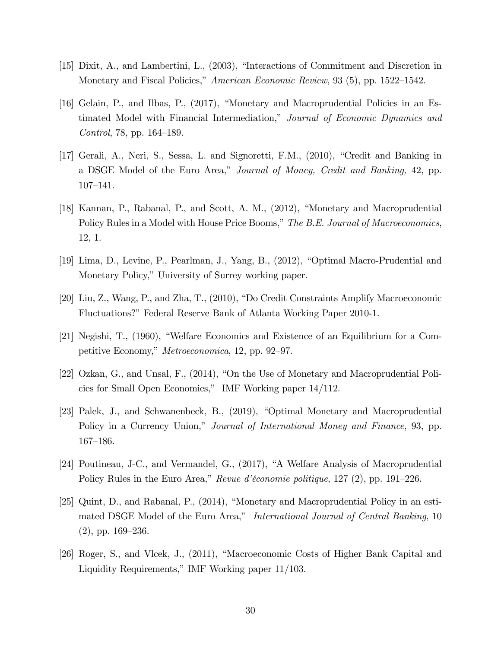- [15] Dixit, A., and Lambertini, L.,  $(2003)$ , "Interactions of Commitment and Discretion in Monetary and Fiscal Policies," American Economic Review, 93 (5), pp. 1522–1542.
- [16] Gelain, P., and Ilbas, P., (2017), "Monetary and Macroprudential Policies in an Estimated Model with Financial Intermediation," Journal of Economic Dynamics and *Control*, 78, pp.  $164-189$ .
- [17] Gerali, A., Neri, S., Sessa, L. and Signoretti, F.M., (2010), "Credit and Banking in a DSGE Model of the Euro Area," Journal of Money, Credit and Banking, 42, pp.  $107 - 141.$
- [18] Kannan, P., Rabanal, P., and Scott, A. M.,  $(2012)$ , "Monetary and Macroprudential Policy Rules in a Model with House Price Booms," The B.E. Journal of Macroeconomics, 12, 1.
- [19] Lima, D., Levine, P., Pearlman, J., Yang, B., (2012), "Optimal Macro-Prudential and Monetary Policy," University of Surrey working paper.
- [20] Liu, Z., Wang, P., and Zha, T.,  $(2010)$ , "Do Credit Constraints Amplify Macroeconomic Fluctuations?" Federal Reserve Bank of Atlanta Working Paper 2010-1.
- [21] Negishi, T.,  $(1960)$ , "Welfare Economics and Existence of an Equilibrium for a Competitive Economy," *Metroeconomica*, 12, pp. 92–97.
- [22] Ozkan, G., and Unsal, F.,  $(2014)$ , "On the Use of Monetary and Macroprudential Policies for Small Open Economies," IMF Working paper 14/112.
- [23] Palek, J., and Schwanenbeck, B., (2019), "Optimal Monetary and Macroprudential Policy in a Currency Union," Journal of International Money and Finance, 93, pp. 167–186.
- [24] Poutineau, J-C., and Vermandel, G., (2017), "A Welfare Analysis of Macroprudential Policy Rules in the Euro Area," Revue d'économie politique,  $127$  (2), pp. 191–226.
- [25] Quint, D., and Rabanal, P.,  $(2014)$ , "Monetary and Macroprudential Policy in an estimated DSGE Model of the Euro Area," International Journal of Central Banking, 10  $(2)$ , pp. 169–236.
- [26] Roger, S., and Vlcek, J., (2011), "Macroeconomic Costs of Higher Bank Capital and Liquidity Requirements," IMF Working paper 11/103.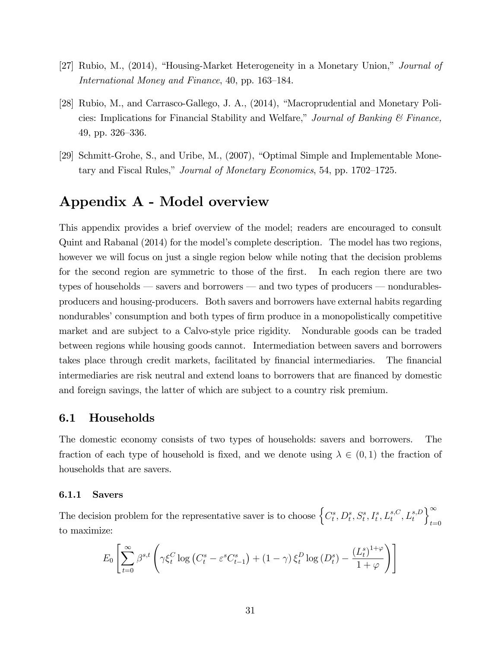- [27] Rubio, M.,  $(2014)$ , "Housing-Market Heterogeneity in a Monetary Union," *Journal of* International Money and Finance, 40, pp. 163–184.
- [28] Rubio, M., and Carrasco-Gallego, J. A.,  $(2014)$ , "Macroprudential and Monetary Policies: Implications for Financial Stability and Welfare," Journal of Banking  $\mathcal C$  Finance,  $49$ , pp.  $326-336$ .
- [29] Schmitt-Grohe, S., and Uribe, M.,  $(2007)$ , "Optimal Simple and Implementable Monetary and Fiscal Rules," *Journal of Monetary Economics*, 54, pp.  $1702-1725$ .

# Appendix A - Model overview

This appendix provides a brief overview of the model; readers are encouraged to consult Quint and Rabanal (2014) for the model's complete description. The model has two regions, however we will focus on just a single region below while noting that the decision problems for the second region are symmetric to those of the first. In each region there are two types of households  $\sim$  savers and borrowers  $\sim$  and two types of producers  $\sim$  nondurablesproducers and housing-producers. Both savers and borrowers have external habits regarding nondurables' consumption and both types of firm produce in a monopolistically competitive market and are subject to a Calvo-style price rigidity. Nondurable goods can be traded between regions while housing goods cannot. Intermediation between savers and borrowers takes place through credit markets, facilitated by financial intermediaries. The financial intermediaries are risk neutral and extend loans to borrowers that are financed by domestic and foreign savings, the latter of which are subject to a country risk premium.

#### 6.1 Households

The domestic economy consists of two types of households: savers and borrowers. The fraction of each type of household is fixed, and we denote using  $\lambda \in (0,1)$  the fraction of households that are savers.

#### 6.1.1 Savers

The decision problem for the representative saver is to choose  $\left\{C_t^s, D_t^s, S_t^s, I_t^s, L_t^{s,C}, L_t^{s,D} \right\}$  $\Gamma^{\infty}$  $t=0$ to maximize:

$$
E_0\left[\sum_{t=0}^{\infty}\beta^{s,t}\left(\gamma\xi_t^C\log\left(C_t^s-\varepsilon^sC_{t-1}^s\right)+(1-\gamma)\,\xi_t^D\log\left(D_t^s\right)-\frac{\left(L_t^s\right)^{1+\varphi}}{1+\varphi}\right)\right]
$$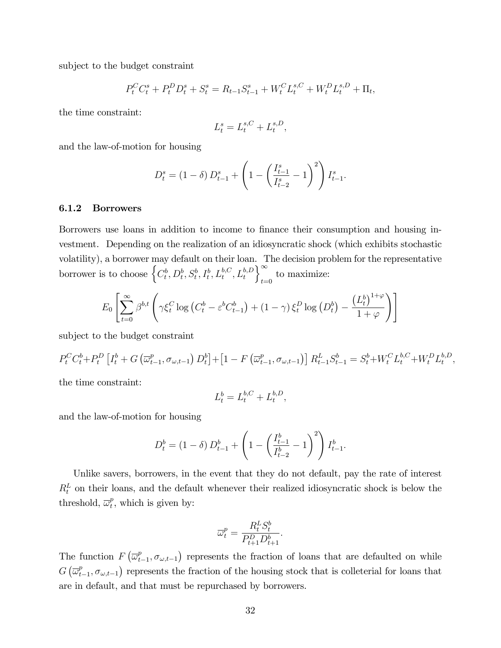subject to the budget constraint

$$
P_t^C C_t^s + P_t^D D_t^s + S_t^s = R_{t-1} S_{t-1}^s + W_t^C L_t^{s,C} + W_t^D L_t^{s,D} + \Pi_t,
$$

the time constraint:

$$
L_t^s = L_t^{s,C} + L_t^{s,D},
$$

and the law-of-motion for housing

$$
D_t^s = (1 - \delta) D_{t-1}^s + \left( 1 - \left( \frac{I_{t-1}^s}{I_{t-2}^s} - 1 \right)^2 \right) I_{t-1}^s.
$$

#### 6.1.2 Borrowers

Borrowers use loans in addition to income to finance their consumption and housing investment. Depending on the realization of an idiosyncratic shock (which exhibits stochastic volatility), a borrower may default on their loan. The decision problem for the representative borrower is to choose  $\left\{C_t^b, D_t^b, S_t^b, I_t^b, L_t^{b,C}, L_t^{b,D}\right\}$  $\int_{-\infty}^{\infty}$ to maximize:

$$
E_0 \left[ \sum_{t=0}^{\infty} \beta^{b,t} \left( \gamma \xi_t^C \log \left( C_t^b - \varepsilon^b C_{t-1}^b \right) + (1 - \gamma) \xi_t^D \log \left( D_t^b \right) - \frac{\left( L_t^b \right)^{1+\varphi}}{1+\varphi} \right) \right]
$$

subject to the budget constraint

$$
P_t^C C_t^b + P_t^D \left[ I_t^b + G\left(\overline{\omega}_{t-1}^p, \sigma_{\omega, t-1}\right) D_t^b \right] + \left[ 1 - F\left(\overline{\omega}_{t-1}^p, \sigma_{\omega, t-1}\right) \right] R_{t-1}^L S_{t-1}^b = S_t^b + W_t^C L_t^{b,C} + W_t^D L_t^{b,D},
$$

the time constraint:

$$
L_t^b = L_t^{b,C} + L_t^{b,D}, \quad
$$

and the law-of-motion for housing

$$
D_t^b = (1 - \delta) D_{t-1}^b + \left( 1 - \left( \frac{I_{t-1}^b}{I_{t-2}^b} - 1 \right)^2 \right) I_{t-1}^b.
$$

Unlike savers, borrowers, in the event that they do not default, pay the rate of interest  $R_t^L$  on their loans, and the default whenever their realized idiosyncratic shock is below the threshold,  $\overline{\omega}_t^p$  $_t^p$ , which is given by:

$$
\overline{\omega}_t^p = \frac{R_t^L S_t^b}{P_{t+1}^D D_{t+1}^b}.
$$

The function  $F\left(\overline{\omega}_t^p\right)$  $(t_{t-1}, \sigma_{\omega,t-1})$  represents the fraction of loans that are defaulted on while  $G\left(\overline{\omega}_{t}^{p}\right)$  $(t_{t-1}, \sigma_{\omega,t-1})$  represents the fraction of the housing stock that is colleterial for loans that are in default, and that must be repurchased by borrowers.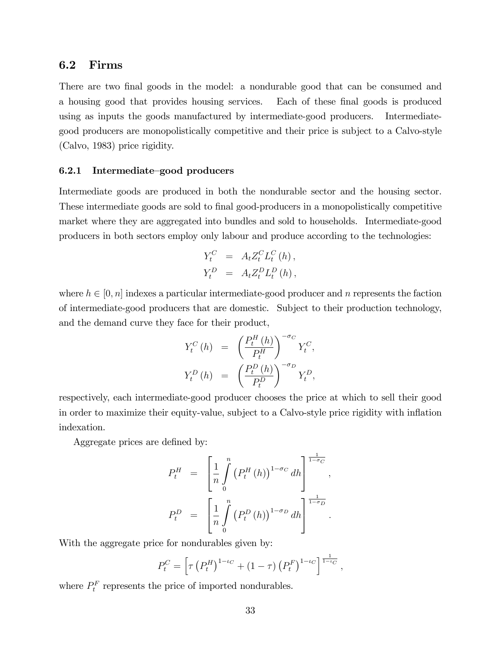### 6.2 Firms

There are two final goods in the model: a nondurable good that can be consumed and a housing good that provides housing services. Each of these final goods is produced using as inputs the goods manufactured by intermediate-good producers. Intermediategood producers are monopolistically competitive and their price is subject to a Calvo-style (Calvo, 1983) price rigidity.

#### $6.2.1$  Intermediate-good producers

Intermediate goods are produced in both the nondurable sector and the housing sector. These intermediate goods are sold to final good-producers in a monopolistically competitive market where they are aggregated into bundles and sold to households. Intermediate-good producers in both sectors employ only labour and produce according to the technologies:

$$
Y_t^C = A_t Z_t^C L_t^C(h),
$$
  

$$
Y_t^D = A_t Z_t^D L_t^D(h),
$$

where  $h \in [0, n]$  indexes a particular intermediate-good producer and n represents the faction of intermediate-good producers that are domestic. Subject to their production technology, and the demand curve they face for their product,

$$
Y_t^C(h) = \left(\frac{P_t^H(h)}{P_t^H}\right)^{-\sigma_C} Y_t^C,
$$
  

$$
Y_t^D(h) = \left(\frac{P_t^D(h)}{P_t^D}\right)^{-\sigma_D} Y_t^D,
$$

respectively, each intermediate-good producer chooses the price at which to sell their good in order to maximize their equity-value, subject to a Calvo-style price rigidity with ináation indexation.

Aggregate prices are defined by:

$$
P_t^H = \left[ \frac{1}{n} \int_0^n (P_t^H(h))^{1-\sigma_C} dh \right]^{\frac{1}{1-\sigma_C}},
$$
  

$$
P_t^D = \left[ \frac{1}{n} \int_0^n (P_t^D(h))^{1-\sigma_D} dh \right]^{\frac{1}{1-\sigma_D}}.
$$

With the aggregate price for nondurables given by:

$$
P_t^C = \left[ \tau \left( P_t^H \right)^{1 - \iota_C} + (1 - \tau) \left( P_t^F \right)^{1 - \iota_C} \right]^{\frac{1}{1 - \iota_C}},
$$

where  $P_t^F$  represents the price of imported nondurables.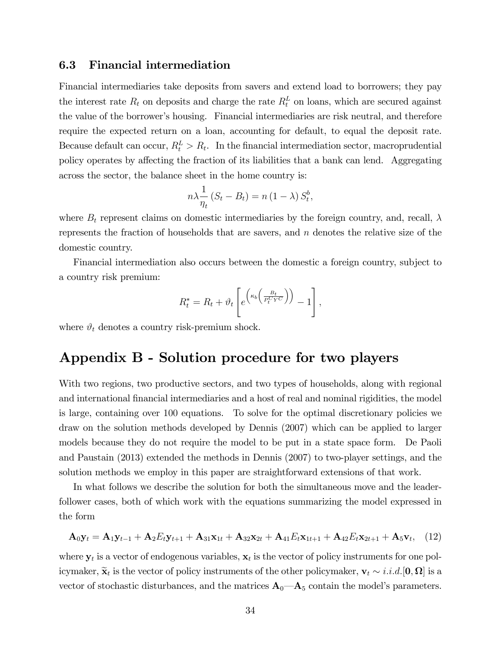#### 6.3 Financial intermediation

Financial intermediaries take deposits from savers and extend load to borrowers; they pay the interest rate  $R_t$  on deposits and charge the rate  $R_t^L$  on loans, which are secured against the value of the borrowerís housing. Financial intermediaries are risk neutral, and therefore require the expected return on a loan, accounting for default, to equal the deposit rate. Because default can occur,  $R_t^L > R_t$ . In the financial intermediation sector, macroprudential policy operates by affecting the fraction of its liabilities that a bank can lend. Aggregating across the sector, the balance sheet in the home country is:

$$
n\lambda \frac{1}{\eta_t} \left( S_t - B_t \right) = n \left( 1 - \lambda \right) S_t^b,
$$

where  $B_t$  represent claims on domestic intermediaries by the foreign country, and, recall,  $\lambda$ represents the fraction of households that are savers, and  $n$  denotes the relative size of the domestic country.

Financial intermediation also occurs between the domestic a foreign country, subject to a country risk premium:

$$
R_t^* = R_t + \vartheta_t \left[ e^{\left(\kappa_b \left( \frac{B_t}{P_t^C Y^C} \right) \right)} - 1 \right],
$$

where  $\vartheta_t$  denotes a country risk-premium shock.

## Appendix B - Solution procedure for two players

With two regions, two productive sectors, and two types of households, along with regional and international financial intermediaries and a host of real and nominal rigidities, the model is large, containing over 100 equations. To solve for the optimal discretionary policies we draw on the solution methods developed by Dennis (2007) which can be applied to larger models because they do not require the model to be put in a state space form. De Paoli and Paustain (2013) extended the methods in Dennis (2007) to two-player settings, and the solution methods we employ in this paper are straightforward extensions of that work.

In what follows we describe the solution for both the simultaneous move and the leaderfollower cases, both of which work with the equations summarizing the model expressed in the form

$$
\mathbf{A}_0 \mathbf{y}_t = \mathbf{A}_1 \mathbf{y}_{t-1} + \mathbf{A}_2 E_t \mathbf{y}_{t+1} + \mathbf{A}_{31} \mathbf{x}_{1t} + \mathbf{A}_{32} \mathbf{x}_{2t} + \mathbf{A}_{41} E_t \mathbf{x}_{1t+1} + \mathbf{A}_{42} E_t \mathbf{x}_{2t+1} + \mathbf{A}_5 \mathbf{v}_t, \quad (12)
$$

where  $y_t$  is a vector of endogenous variables,  $x_t$  is the vector of policy instruments for one policymaker,  $\widetilde{\mathbf{x}}_t$  is the vector of policy instruments of the other policymaker,  $\mathbf{v}_t \sim i.i.d. [\mathbf{0}, \mathbf{\Omega}]$  is a vector of stochastic disturbances, and the matrices  $A_0$ — $A_5$  contain the model's parameters.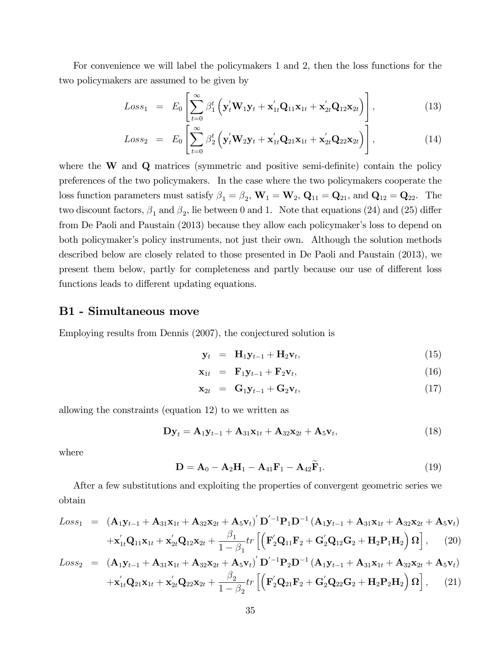For convenience we will label the policymakers 1 and 2, then the loss functions for the two policymakers are assumed to be given by

$$
Loss_1 = E_0 \left[ \sum_{t=0}^{\infty} \beta_1^t \left( \mathbf{y}_t^{\prime} \mathbf{W}_1 \mathbf{y}_t + \mathbf{x}_{1t}^{\prime} \mathbf{Q}_{11} \mathbf{x}_{1t} + \mathbf{x}_{2t}^{\prime} \mathbf{Q}_{12} \mathbf{x}_{2t} \right) \right],
$$
(13)

$$
Loss_2 = E_0 \left[ \sum_{t=0}^{\infty} \beta_2^t \left( \mathbf{y}_t' \mathbf{W}_2 \mathbf{y}_t + \mathbf{x}_{1t}' \mathbf{Q}_{21} \mathbf{x}_{1t} + \mathbf{x}_{2t}' \mathbf{Q}_{22} \mathbf{x}_{2t} \right) \right],
$$
(14)

where the  $W$  and  $Q$  matrices (symmetric and positive semi-definite) contain the policy preferences of the two policymakers. In the case where the two policymakers cooperate the loss function parameters must satisfy  $\beta_1 = \beta_2$ ,  $\mathbf{W}_1 = \mathbf{W}_2$ ,  $\mathbf{Q}_{11} = \mathbf{Q}_{21}$ , and  $\mathbf{Q}_{12} = \mathbf{Q}_{22}$ . The two discount factors,  $\beta_1$  and  $\beta_2$ , lie between 0 and 1. Note that equations (24) and (25) differ from De Paoli and Paustain (2013) because they allow each policymaker's loss to depend on both policymaker's policy instruments, not just their own. Although the solution methods described below are closely related to those presented in De Paoli and Paustain (2013), we present them below, partly for completeness and partly because our use of different loss functions leads to different updating equations.

#### B1 - Simultaneous move

Employing results from Dennis (2007), the conjectured solution is

$$
\mathbf{y}_t = \mathbf{H}_1 \mathbf{y}_{t-1} + \mathbf{H}_2 \mathbf{v}_t, \tag{15}
$$

$$
\mathbf{x}_{1t} = \mathbf{F}_1 \mathbf{y}_{t-1} + \mathbf{F}_2 \mathbf{v}_t, \tag{16}
$$

$$
\mathbf{x}_{2t} = \mathbf{G}_1 \mathbf{y}_{t-1} + \mathbf{G}_2 \mathbf{v}_t, \tag{17}
$$

allowing the constraints (equation 12) to we written as

$$
\mathbf{Dy}_t = \mathbf{A}_1 \mathbf{y}_{t-1} + \mathbf{A}_{31} \mathbf{x}_{1t} + \mathbf{A}_{32} \mathbf{x}_{2t} + \mathbf{A}_5 \mathbf{v}_t, \tag{18}
$$

where

$$
D = A_0 - A_2H_1 - A_{41}F_1 - A_{42}F_1.
$$
 (19)

After a few substitutions and exploiting the properties of convergent geometric series we obtain

$$
Loss_{1} = (\mathbf{A}_{1}\mathbf{y}_{t-1} + \mathbf{A}_{31}\mathbf{x}_{1t} + \mathbf{A}_{32}\mathbf{x}_{2t} + \mathbf{A}_{5}\mathbf{v}_{t})^{\prime} \mathbf{D}^{\prime -1}\mathbf{P}_{1}\mathbf{D}^{-1}(\mathbf{A}_{1}\mathbf{y}_{t-1} + \mathbf{A}_{31}\mathbf{x}_{1t} + \mathbf{A}_{32}\mathbf{x}_{2t} + \mathbf{A}_{5}\mathbf{v}_{t}) + \mathbf{x}_{1t}^{'}\mathbf{Q}_{11}\mathbf{x}_{1t} + \mathbf{x}_{2t}^{'}\mathbf{Q}_{12}\mathbf{x}_{2t} + \frac{\beta_{1}}{1-\beta_{1}}tr\left[\left(\mathbf{F}_{2}^{'}\mathbf{Q}_{11}\mathbf{F}_{2} + \mathbf{G}_{2}^{'}\mathbf{Q}_{12}\mathbf{G}_{2} + \mathbf{H}_{2}\mathbf{P}_{1}\mathbf{H}_{2}\right)\mathbf{\Omega}\right],
$$
 (20)

$$
Loss_2 = (\mathbf{A}_1 \mathbf{y}_{t-1} + \mathbf{A}_{31} \mathbf{x}_{1t} + \mathbf{A}_{32} \mathbf{x}_{2t} + \mathbf{A}_5 \mathbf{v}_t)' \mathbf{D}'^{-1} \mathbf{P}_2 \mathbf{D}^{-1} (\mathbf{A}_1 \mathbf{y}_{t-1} + \mathbf{A}_{31} \mathbf{x}_{1t} + \mathbf{A}_{32} \mathbf{x}_{2t} + \mathbf{A}_5 \mathbf{v}_t) + \mathbf{x}'_{1t} \mathbf{Q}_{21} \mathbf{x}_{1t} + \mathbf{x}'_{2t} \mathbf{Q}_{22} \mathbf{x}_{2t} + \frac{\beta_2}{1 - \beta_2} tr \left[ \left( \mathbf{F}'_2 \mathbf{Q}_{21} \mathbf{F}_2 + \mathbf{G}'_2 \mathbf{Q}_{22} \mathbf{G}_2 + \mathbf{H}_2 \mathbf{P}_2 \mathbf{H}_2 \right) \Omega \right],
$$
 (21)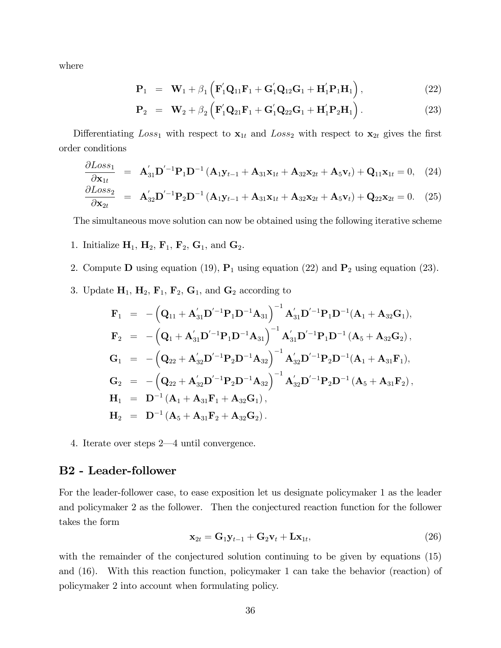where

$$
\mathbf{P}_{1} = \mathbf{W}_{1} + \beta_{1} (\mathbf{F}_{1}^{\'}\mathbf{Q}_{11}\mathbf{F}_{1} + \mathbf{G}_{1}^{\'}\mathbf{Q}_{12}\mathbf{G}_{1} + \mathbf{H}_{1}^{\'}\mathbf{P}_{1}\mathbf{H}_{1}), \qquad (22)
$$

$$
\mathbf{P}_2 = \mathbf{W}_2 + \beta_2 \left( \mathbf{F}_1' \mathbf{Q}_{21} \mathbf{F}_1 + \mathbf{G}_1' \mathbf{Q}_{22} \mathbf{G}_1 + \mathbf{H}_1' \mathbf{P}_2 \mathbf{H}_1 \right).
$$
 (23)

Differentiating  $Loss_1$  with respect to  $\mathbf{x}_{1t}$  and  $Loss_2$  with respect to  $\mathbf{x}_{2t}$  gives the first order conditions

$$
\frac{\partial Loss_1}{\partial \mathbf{x}_{1t}} = \mathbf{A}_{31}' \mathbf{D}'^{-1} \mathbf{P}_1 \mathbf{D}^{-1} \left( \mathbf{A}_1 \mathbf{y}_{t-1} + \mathbf{A}_{31} \mathbf{x}_{1t} + \mathbf{A}_{32} \mathbf{x}_{2t} + \mathbf{A}_5 \mathbf{v}_t \right) + \mathbf{Q}_{11} \mathbf{x}_{1t} = 0, \quad (24)
$$

$$
\frac{\partial Loss_2}{\partial \mathbf{x}_{2t}} = \mathbf{A}_{32}' \mathbf{D}'^{-1} \mathbf{P}_2 \mathbf{D}^{-1} (\mathbf{A}_1 \mathbf{y}_{t-1} + \mathbf{A}_{31} \mathbf{x}_{1t} + \mathbf{A}_{32} \mathbf{x}_{2t} + \mathbf{A}_5 \mathbf{v}_t) + \mathbf{Q}_{22} \mathbf{x}_{2t} = 0. \quad (25)
$$

The simultaneous move solution can now be obtained using the following iterative scheme

- 1. Initialize  $H_1$ ,  $H_2$ ,  $F_1$ ,  $F_2$ ,  $G_1$ , and  $G_2$ .
- 2. Compute **D** using equation (19),  $P_1$  using equation (22) and  $P_2$  using equation (23).
- 3. Update  $H_1$ ,  $H_2$ ,  $F_1$ ,  $F_2$ ,  $G_1$ , and  $G_2$  according to

$$
\begin{array}{lll} \mathbf{F}_1&=&-\left(\mathbf{Q}_{11}+\mathbf{A}_{31}^{'}\mathbf{D}^{'-1}\mathbf{P}_{1}\mathbf{D}^{-1}\mathbf{A}_{31}\right)^{-1}\mathbf{A}_{31}^{'}\mathbf{D}^{'-1}\mathbf{P}_{1}\mathbf{D}^{-1}(\mathbf{A}_1+\mathbf{A}_{32}\mathbf{G}_1),\\ \mathbf{F}_2&=&-\left(\mathbf{Q}_1+\mathbf{A}_{31}^{'}\mathbf{D}^{'-1}\mathbf{P}_{1}\mathbf{D}^{-1}\mathbf{A}_{31}\right)^{-1}\mathbf{A}_{31}^{'}\mathbf{D}^{'-1}\mathbf{P}_{1}\mathbf{D}^{-1}\left(\mathbf{A}_5+\mathbf{A}_{32}\mathbf{G}_2\right),\\ \mathbf{G}_1&=&-\left(\mathbf{Q}_{22}+\mathbf{A}_{32}^{'}\mathbf{D}^{'-1}\mathbf{P}_{2}\mathbf{D}^{-1}\mathbf{A}_{32}\right)^{-1}\mathbf{A}_{32}^{'}\mathbf{D}^{'-1}\mathbf{P}_{2}\mathbf{D}^{-1}(\mathbf{A}_1+\mathbf{A}_{31}\mathbf{F}_1),\\ \mathbf{G}_2&=&-\left(\mathbf{Q}_{22}+\mathbf{A}_{32}^{'}\mathbf{D}^{'-1}\mathbf{P}_{2}\mathbf{D}^{-1}\mathbf{A}_{32}\right)^{-1}\mathbf{A}_{32}^{'}\mathbf{D}^{'-1}\mathbf{P}_{2}\mathbf{D}^{-1}\left(\mathbf{A}_5+\mathbf{A}_{31}\mathbf{F}_2\right),\\ \mathbf{H}_1&=&\mathbf{D}^{-1}\left(\mathbf{A}_1+\mathbf{A}_{31}\mathbf{F}_1+\mathbf{A}_{32}\mathbf{G}_1\right),\\ \mathbf{H}_2&=&\mathbf{D}^{-1}\left(\mathbf{A}_5+\mathbf{A}_{31}\mathbf{F}_2+\mathbf{A}_{32}\mathbf{G}_2\right). \end{array}
$$

4. Iterate over steps  $2-4$  until convergence.

### B2 - Leader-follower

For the leader-follower case, to ease exposition let us designate policymaker 1 as the leader and policymaker 2 as the follower. Then the conjectured reaction function for the follower takes the form

$$
\mathbf{x}_{2t} = \mathbf{G}_1 \mathbf{y}_{t-1} + \mathbf{G}_2 \mathbf{v}_t + \mathbf{L} \mathbf{x}_{1t},\tag{26}
$$

with the remainder of the conjectured solution continuing to be given by equations (15) and (16). With this reaction function, policymaker 1 can take the behavior (reaction) of policymaker 2 into account when formulating policy.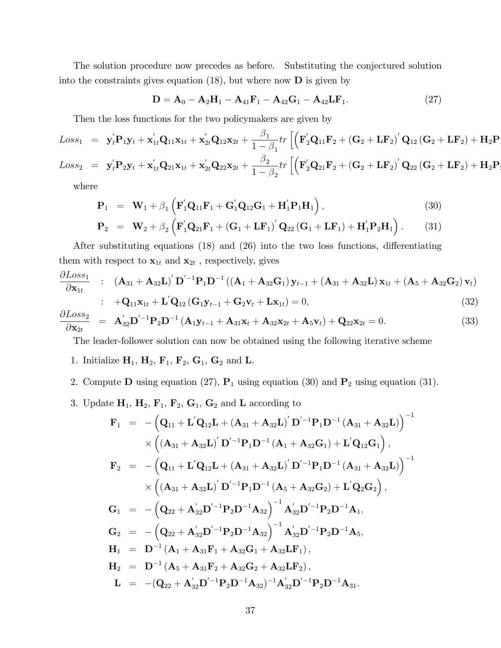The solution procedure now precedes as before. Substituting the conjectured solution into the constraints gives equation  $(18)$ , but where now **D** is given by

$$
D = A_0 - A_2H_1 - A_{41}F_1 - A_{42}G_1 - A_{42}LF_1.
$$
 (27)

Then the loss functions for the two policymakers are given by

$$
Loss_{1} = \mathbf{y}_{t}^{\prime} \mathbf{P}_{1} \mathbf{y}_{t} + \mathbf{x}_{1t}^{\prime} \mathbf{Q}_{11} \mathbf{x}_{1t} + \mathbf{x}_{2t}^{\prime} \mathbf{Q}_{12} \mathbf{x}_{2t} + \frac{\beta_{1}}{1 - \beta_{1}} tr \left[ \left( \mathbf{F}_{2}^{\prime} \mathbf{Q}_{11} \mathbf{F}_{2} + (\mathbf{G}_{2} + \mathbf{L} \mathbf{F}_{2})^{\prime} \mathbf{Q}_{12} (\mathbf{G}_{2} + \mathbf{L} \mathbf{F}_{2}) + \mathbf{H}_{2} \mathbf{P}_{1} \right) \mathbf{F}_{2} \mathbf{y}_{t} \right]
$$
  
\n
$$
Loss_{2} = \mathbf{y}_{t}^{\prime} \mathbf{P}_{2} \mathbf{y}_{t} + \mathbf{x}_{1t}^{\prime} \mathbf{Q}_{21} \mathbf{x}_{1t} + \mathbf{x}_{2t}^{\prime} \mathbf{Q}_{22} \mathbf{x}_{2t} + \frac{\beta_{2}}{1 - \beta_{2}} tr \left[ \left( \mathbf{F}_{2}^{\prime} \mathbf{Q}_{21} \mathbf{F}_{2} + (\mathbf{G}_{2} + \mathbf{L} \mathbf{F}_{2})^{\prime} \mathbf{Q}_{22} (\mathbf{G}_{2} + \mathbf{L} \mathbf{F}_{2}) + \mathbf{H}_{2} \mathbf{P}_{2} \right) \right]
$$

where

$$
\mathbf{P}_1 = \mathbf{W}_1 + \beta_1 \left( \mathbf{F}_1' \mathbf{Q}_{11} \mathbf{F}_1 + \mathbf{G}_1' \mathbf{Q}_{12} \mathbf{G}_1 + \mathbf{H}_1' \mathbf{P}_1 \mathbf{H}_1 \right), \tag{30}
$$

$$
\mathbf{P}_2 = \mathbf{W}_2 + \beta_2 \left( \mathbf{F}_1' \mathbf{Q}_{21} \mathbf{F}_1 + (\mathbf{G}_1 + \mathbf{L} \mathbf{F}_1)' \mathbf{Q}_{22} (\mathbf{G}_1 + \mathbf{L} \mathbf{F}_1) + \mathbf{H}_1' \mathbf{P}_2 \mathbf{H}_1 \right).
$$
 (31)

After substituting equations  $(18)$  and  $(26)$  into the two loss functions, differentiating them with respect to  $\mathbf{x}_{1t}$  and  $\mathbf{x}_{2t}$ , respectively, gives

$$
\frac{\partial Loss_1}{\partial \mathbf{x}_{1t}} \quad : \quad (\mathbf{A}_{31} + \mathbf{A}_{32}\mathbf{L})' \mathbf{D}'^{-1} \mathbf{P}_1 \mathbf{D}^{-1} ((\mathbf{A}_1 + \mathbf{A}_{32}\mathbf{G}_1) \mathbf{y}_{t-1} + (\mathbf{A}_{31} + \mathbf{A}_{32}\mathbf{L}) \mathbf{x}_{1t} + (\mathbf{A}_5 + \mathbf{A}_{32}\mathbf{G}_2) \mathbf{v}_t)
$$

$$
\therefore \quad +\mathbf{Q}_{11}\mathbf{x}_{1t} + \mathbf{L}'\mathbf{Q}_{12}\left(\mathbf{G}_1\mathbf{y}_{t-1} + \mathbf{G}_2\mathbf{v}_t + \mathbf{L}\mathbf{x}_{1t}\right) = 0, \tag{32}
$$

$$
\frac{\partial Loss_2}{\partial \mathbf{x}_{2t}} = \mathbf{A}_{32}' \mathbf{D}'^{-1} \mathbf{P}_2 \mathbf{D}^{-1} (\mathbf{A}_1 \mathbf{y}_{t-1} + \mathbf{A}_{31} \mathbf{x}_t + \mathbf{A}_{32} \mathbf{x}_{2t} + \mathbf{A}_5 \mathbf{v}_t) + \mathbf{Q}_{22} \mathbf{x}_{2t} = 0.
$$
\n(33)

The leader-follower solution can now be obtained using the following iterative scheme

- 1. Initialize  $H_1$ ,  $H_2$ ,  $F_1$ ,  $F_2$ ,  $G_1$ ,  $G_2$  and **L**.
- 2. Compute **D** using equation (27),  $P_1$  using equation (30) and  $P_2$  using equation (31).
- 3. Update  $H_1$ ,  $H_2$ ,  $F_1$ ,  $F_2$ ,  $G_1$ ,  $G_2$  and L according to

$$
\begin{array}{lll} \mathbf{F}_1&=&-\left(\mathbf{Q}_{11}+\mathbf{L^{'}Q_{12}}\mathbf{L}+(\mathbf{A}_{31}+\mathbf{A}_{32}\mathbf{L})^{'}\mathbf{D}^{'-1}\mathbf{P}_1\mathbf{D}^{-1}\left(\mathbf{A}_{31}+\mathbf{A}_{32}\mathbf{L}\right)\right)^{-1}\\&\times\left((\mathbf{A}_{31}+\mathbf{A}_{32}\mathbf{L})^{'}\mathbf{D}^{'-1}\mathbf{P}_1\mathbf{D}^{-1}\left(\mathbf{A}_1+\mathbf{A}_{32}\mathbf{G}_1\right)+\mathbf{L^{'}Q_{12}}\mathbf{G}_1\right),\\ \mathbf{F}_2&=&-\left(\mathbf{Q}_{11}+\mathbf{L^{'}Q_{12}}\mathbf{L}+(\mathbf{A}_{31}+\mathbf{A}_{32}\mathbf{L})^{'}\mathbf{D}^{'-1}\mathbf{P}_1\mathbf{D}^{-1}\left(\mathbf{A}_{31}+\mathbf{A}_{32}\mathbf{L}\right)\right)^{-1}\\&\times\left((\mathbf{A}_{31}+\mathbf{A}_{32}\mathbf{L})^{'}\mathbf{D}^{'-1}\mathbf{P}_1\mathbf{D}^{-1}\left(\mathbf{A}_5+\mathbf{A}_{32}\mathbf{G}_2\right)+\mathbf{L^{'}Q_2}\mathbf{G}_2\right),\\ \mathbf{G}_1&=&-\left(\mathbf{Q}_{22}+\mathbf{A^{'}_{32}}\mathbf{D}^{'-1}\mathbf{P}_2\mathbf{D}^{-1}\mathbf{A}_{32}\right)^{-1}\mathbf{A^{'}_{32}}\mathbf{D}^{'-1}\mathbf{P}_2\mathbf{D}^{-1}\mathbf{A}_1,\\ \mathbf{G}_2&=&-\left(\mathbf{Q}_{22}+\mathbf{A^{'}_{32}}\mathbf{D}^{'-1}\mathbf{P}_2\mathbf{D}^{-1}\mathbf{A}_{32}\right)^{-1}\mathbf{A^{'}_{32}}\mathbf{D}^{'-1}\mathbf{P}_2\mathbf{D}^{-1}\mathbf{A}_5,\\ \mathbf{H}_1&=&\mathbf{D}^{-1}\left(\mathbf{A}_1+\mathbf{A}_{31}\mathbf{F}_1+\mathbf{A}_{32}\mathbf{G}_1+\mathbf{A}_{32}\mathbf{L}\mathbf{F
$$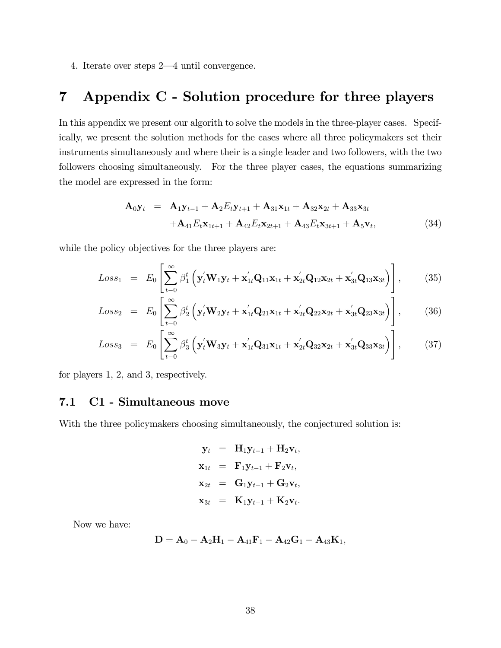4. Iterate over steps  $2-4$  until convergence.

# 7 Appendix C - Solution procedure for three players

In this appendix we present our algorith to solve the models in the three-player cases. Specifically, we present the solution methods for the cases where all three policymakers set their instruments simultaneously and where their is a single leader and two followers, with the two followers choosing simultaneously. For the three player cases, the equations summarizing the model are expressed in the form:

$$
\mathbf{A}_0 \mathbf{y}_t = \mathbf{A}_1 \mathbf{y}_{t-1} + \mathbf{A}_2 E_t \mathbf{y}_{t+1} + \mathbf{A}_{31} \mathbf{x}_{1t} + \mathbf{A}_{32} \mathbf{x}_{2t} + \mathbf{A}_{33} \mathbf{x}_{3t} \n+ \mathbf{A}_{41} E_t \mathbf{x}_{1t+1} + \mathbf{A}_{42} E_t \mathbf{x}_{2t+1} + \mathbf{A}_{43} E_t \mathbf{x}_{3t+1} + \mathbf{A}_5 \mathbf{v}_t,
$$
\n(34)

while the policy objectives for the three players are:

$$
Loss_{1} = E_{0} \left[ \sum_{t=0}^{\infty} \beta_{1}^{t} \left( \mathbf{y}_{t}^{'} \mathbf{W}_{1} \mathbf{y}_{t} + \mathbf{x}_{1t}^{'} \mathbf{Q}_{11} \mathbf{x}_{1t} + \mathbf{x}_{2t}^{'} \mathbf{Q}_{12} \mathbf{x}_{2t} + \mathbf{x}_{3t}^{'} \mathbf{Q}_{13} \mathbf{x}_{3t} \right) \right], \qquad (35)
$$

$$
Loss_2 = E_0 \left[ \sum_{t=0}^{\infty} \beta_2^t \left( \mathbf{y}_t^{\prime} \mathbf{W}_2 \mathbf{y}_t + \mathbf{x}_{1t}^{\prime} \mathbf{Q}_{21} \mathbf{x}_{1t} + \mathbf{x}_{2t}^{\prime} \mathbf{Q}_{22} \mathbf{x}_{2t} + \mathbf{x}_{3t}^{\prime} \mathbf{Q}_{23} \mathbf{x}_{3t} \right) \right],
$$
 (36)

$$
Loss_3 = E_0 \left[ \sum_{t=0}^{\infty} \beta_3^t \left( \mathbf{y}_t^{\prime} \mathbf{W}_3 \mathbf{y}_t + \mathbf{x}_{1t}^{\prime} \mathbf{Q}_{31} \mathbf{x}_{1t} + \mathbf{x}_{2t}^{\prime} \mathbf{Q}_{32} \mathbf{x}_{2t} + \mathbf{x}_{3t}^{\prime} \mathbf{Q}_{33} \mathbf{x}_{3t} \right) \right],
$$
 (37)

for players 1, 2, and 3, respectively.

### 7.1 C1 - Simultaneous move

With the three policymakers choosing simultaneously, the conjectured solution is:

$$
\mathbf{y}_t = \mathbf{H}_1 \mathbf{y}_{t-1} + \mathbf{H}_2 \mathbf{v}_t,
$$
  
\n
$$
\mathbf{x}_{1t} = \mathbf{F}_1 \mathbf{y}_{t-1} + \mathbf{F}_2 \mathbf{v}_t,
$$
  
\n
$$
\mathbf{x}_{2t} = \mathbf{G}_1 \mathbf{y}_{t-1} + \mathbf{G}_2 \mathbf{v}_t,
$$
  
\n
$$
\mathbf{x}_{3t} = \mathbf{K}_1 \mathbf{y}_{t-1} + \mathbf{K}_2 \mathbf{v}_t.
$$

Now we have:

$$
\mathbf{D} = \mathbf{A}_0 - \mathbf{A}_2 \mathbf{H}_1 - \mathbf{A}_{41} \mathbf{F}_1 - \mathbf{A}_{42} \mathbf{G}_1 - \mathbf{A}_{43} \mathbf{K}_1,
$$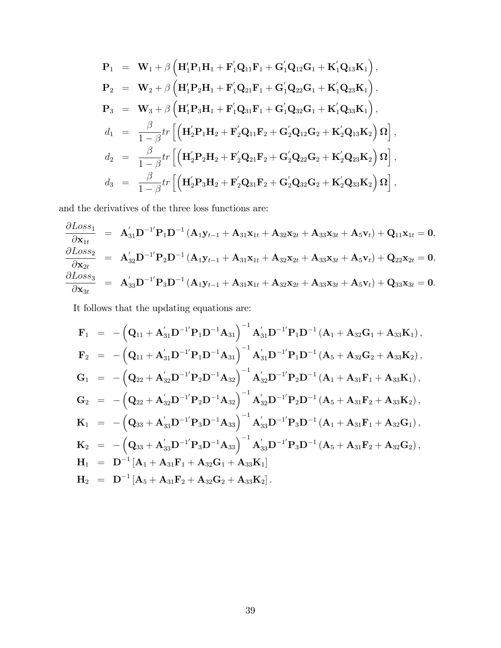$$
P_1 = W_1 + \beta \left( H_1' P_1 H_1 + F_1' Q_{11} F_1 + G_1' Q_{12} G_1 + K_1' Q_{13} K_1 \right),
$$
  
\n
$$
P_2 = W_2 + \beta \left( H_1' P_2 H_1 + F_1' Q_{21} F_1 + G_1' Q_{22} G_1 + K_1' Q_{23} K_1 \right),
$$
  
\n
$$
P_3 = W_3 + \beta \left( H_1' P_3 H_1 + F_1' Q_{31} F_1 + G_1' Q_{32} G_1 + K_1' Q_{33} K_1 \right),
$$
  
\n
$$
d_1 = \frac{\beta}{1 - \beta} tr \left[ \left( H_2' P_1 H_2 + F_2' Q_{11} F_2 + G_2' Q_{12} G_2 + K_2' Q_{13} K_2 \right) \Omega \right],
$$
  
\n
$$
d_2 = \frac{\beta}{1 - \beta} tr \left[ \left( H_2' P_2 H_2 + F_2' Q_{21} F_2 + G_2' Q_{22} G_2 + K_2' Q_{23} K_2 \right) \Omega \right],
$$
  
\n
$$
d_3 = \frac{\beta}{1 - \beta} tr \left[ \left( H_2' P_3 H_2 + F_2' Q_{31} F_2 + G_2' Q_{32} G_2 + K_2' Q_{33} K_2 \right) \Omega \right],
$$

and the derivatives of the three loss functions are:

$$
\begin{array}{rcl}\frac{\partial Loss_1}{\partial \mathbf{x}_{1t}} & = & \mathbf{A}_{31}' \mathbf{D}^{-1'} \mathbf{P}_1 \mathbf{D}^{-1} \left( \mathbf{A}_1 \mathbf{y}_{t-1} + \mathbf{A}_{31} \mathbf{x}_{1t} + \mathbf{A}_{32} \mathbf{x}_{2t} + \mathbf{A}_{33} \mathbf{x}_{3t} + \mathbf{A}_5 \mathbf{v}_t \right) + \mathbf{Q}_{11} \mathbf{x}_{1t} = \mathbf{0},\\ \frac{\partial Loss_2}{\partial \mathbf{x}_{2t}} & = & \mathbf{A}_{32}' \mathbf{D}^{-1'} \mathbf{P}_2 \mathbf{D}^{-1} \left( \mathbf{A}_1 \mathbf{y}_{t-1} + \mathbf{A}_{31} \mathbf{x}_{1t} + \mathbf{A}_{32} \mathbf{x}_{2t} + \mathbf{A}_{33} \mathbf{x}_{3t} + \mathbf{A}_5 \mathbf{v}_t \right) + \mathbf{Q}_{22} \mathbf{x}_{2t} = \mathbf{0},\\ \frac{\partial Loss_3}{\partial \mathbf{x}_{3t}} & = & \mathbf{A}_{33}' \mathbf{D}^{-1'} \mathbf{P}_3 \mathbf{D}^{-1} \left( \mathbf{A}_1 \mathbf{y}_{t-1} + \mathbf{A}_{31} \mathbf{x}_{1t} + \mathbf{A}_{32} \mathbf{x}_{2t} + \mathbf{A}_{33} \mathbf{x}_{3t} + \mathbf{A}_5 \mathbf{v}_t \right) + \mathbf{Q}_{33} \mathbf{x}_{3t} = \mathbf{0}.\end{array}
$$

It follows that the updating equations are:

$$
\begin{array}{lll} \mathbf{F}_1&=&-\left(\mathbf{Q}_{11}+\mathbf{A}_{31}^{'}\mathbf{D}^{-1'}\mathbf{P}_1\mathbf{D}^{-1}\mathbf{A}_{31}\right)^{-1}\mathbf{A}_{31}^{'}\mathbf{D}^{-1'}\mathbf{P}_1\mathbf{D}^{-1}\left(\mathbf{A}_1+\mathbf{A}_{32}\mathbf{G}_1+\mathbf{A}_{33}\mathbf{K}_1\right),\\ \mathbf{F}_2&=&-\left(\mathbf{Q}_{11}+\mathbf{A}_{31}^{'}\mathbf{D}^{-1'}\mathbf{P}_1\mathbf{D}^{-1}\mathbf{A}_{31}\right)^{-1}\mathbf{A}_{31}^{'}\mathbf{D}^{-1'}\mathbf{P}_1\mathbf{D}^{-1}\left(\mathbf{A}_5+\mathbf{A}_{32}\mathbf{G}_2+\mathbf{A}_{33}\mathbf{K}_2\right),\\ \mathbf{G}_1&=&-\left(\mathbf{Q}_{22}+\mathbf{A}_{32}^{'}\mathbf{D}^{-1'}\mathbf{P}_2\mathbf{D}^{-1}\mathbf{A}_{32}\right)^{-1}\mathbf{A}_{32}^{'}\mathbf{D}^{-1'}\mathbf{P}_2\mathbf{D}^{-1}\left(\mathbf{A}_1+\mathbf{A}_{31}\mathbf{F}_1+\mathbf{A}_{33}\mathbf{K}_1\right),\\ \mathbf{G}_2&=&-\left(\mathbf{Q}_{22}+\mathbf{A}_{32}^{'}\mathbf{D}^{-1'}\mathbf{P}_2\mathbf{D}^{-1}\mathbf{A}_{32}\right)^{-1}\mathbf{A}_{32}^{'}\mathbf{D}^{-1'}\mathbf{P}_2\mathbf{D}^{-1}\left(\mathbf{A}_5+\mathbf{A}_{31}\mathbf{F}_2+\mathbf{A}_{33}\mathbf{K}_2\right),\\ \mathbf{K}_1&=&-\left(\mathbf{Q}_{33}+\mathbf{A}_{33}^{'}\mathbf{D}^{-1'}\mathbf{P}_3\mathbf{D}^{-1}\mathbf{A}_{33}\right)^{-1}\mathbf{A}_{33}^{'}\mathbf{D}^{-1'}\mathbf{P}_3\mathbf{D}^{-1}\left(\mathbf{A}_1+\mathbf{A}_{31}\mathbf{F}_1+\mathbf{A}_{32}\mathbf{G}_1\right),\\ \mathbf{K}_2&=&-\left(\mathbf{Q}_{33}+\math
$$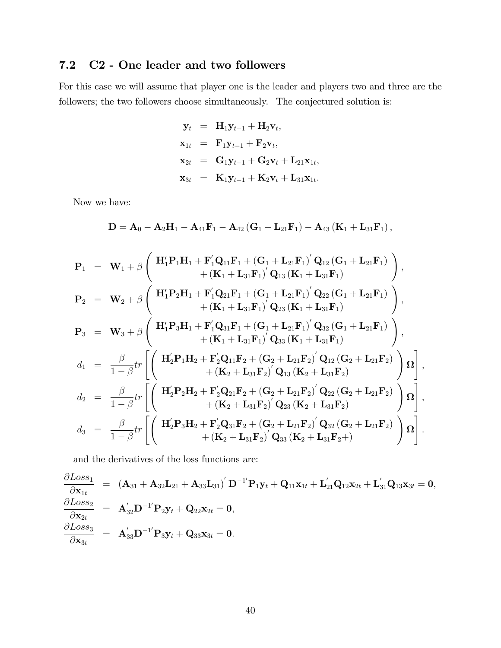# 7.2 C2 - One leader and two followers

For this case we will assume that player one is the leader and players two and three are the followers; the two followers choose simultaneously. The conjectured solution is:

$$
\mathbf{y}_t = \mathbf{H}_1 \mathbf{y}_{t-1} + \mathbf{H}_2 \mathbf{v}_t, \n\mathbf{x}_{1t} = \mathbf{F}_1 \mathbf{y}_{t-1} + \mathbf{F}_2 \mathbf{v}_t, \n\mathbf{x}_{2t} = \mathbf{G}_1 \mathbf{y}_{t-1} + \mathbf{G}_2 \mathbf{v}_t + \mathbf{L}_{21} \mathbf{x}_{1t}, \n\mathbf{x}_{3t} = \mathbf{K}_1 \mathbf{y}_{t-1} + \mathbf{K}_2 \mathbf{v}_t + \mathbf{L}_{31} \mathbf{x}_{1t}.
$$

Now we have:

$$
D = A_0 - A_2H_1 - A_{41}F_1 - A_{42}(G_1 + L_{21}F_1) - A_{43}(K_1 + L_{31}F_1),
$$

$$
P_{1} = W_{1} + \beta \left( H_{1}'P_{1}H_{1} + F_{1}'Q_{11}F_{1} + (G_{1} + L_{21}F_{1})'Q_{12}(G_{1} + L_{21}F_{1}) \right),
$$
\n
$$
P_{2} = W_{2} + \beta \left( H_{1}'P_{2}H_{1} + F_{1}'Q_{21}F_{1} + (G_{1} + L_{21}F_{1})'Q_{22}(G_{1} + L_{21}F_{1}) \right),
$$
\n
$$
P_{3} = W_{3} + \beta \left( H_{1}'P_{3}H_{1} + F_{1}'Q_{21}F_{1} + (G_{1} + L_{21}F_{1})'Q_{22}(G_{1} + L_{21}F_{1}) \right),
$$
\n
$$
P_{4} = W_{3} + \beta \left( H_{1}'P_{3}H_{1} + F_{1}'Q_{31}F_{1} + (G_{1} + L_{21}F_{1})'Q_{32}(G_{1} + L_{21}F_{1}) \right),
$$
\n
$$
d_{1} = \frac{\beta}{1-\beta}tr \left[ \left( H_{2}'P_{1}H_{2} + F_{2}'Q_{11}F_{2} + (G_{2} + L_{21}F_{2})'Q_{12}(G_{2} + L_{21}F_{2}) \right) \Omega \right],
$$
\n
$$
d_{2} = \frac{\beta}{1-\beta}tr \left[ \left( H_{2}'P_{2}H_{2} + F_{2}'Q_{21}F_{2} + (G_{2} + L_{21}F_{2})'Q_{12}(G_{2} + L_{21}F_{2}) \right) \Omega \right],
$$
\n
$$
d_{3} = \frac{\beta}{1-\beta}tr \left[ \left( H_{2}'P_{2}H_{2} + F_{2}'Q_{21}F_{2} + (G_{2} + L_{21}F_{2})'Q_{22}(G_{2} + L_{21}F_{2}) \right) \Omega \right],
$$
\n
$$
d_{4} = \frac{\beta}{1-\beta}tr \left[ \left( H_{2}'P_{3}H_{2} + F_{2}'Q_{31}F_{2} + (G_{2} + L_{21}F_{2})'Q_{32}(G_{2} + L_{21}F_{2}) \right) \Omega \right],
$$
\n<

and the derivatives of the loss functions are:

$$
\begin{array}{rcl} \frac{\partial Loss_1}{\partial \mathbf{x}_{1t}} & = & \left( \mathbf{A}_{31} + \mathbf{A}_{32} \mathbf{L}_{21} + \mathbf{A}_{33} \mathbf{L}_{31} \right)' \mathbf{D}^{-1'} \mathbf{P}_1 \mathbf{y}_t + \mathbf{Q}_{11} \mathbf{x}_{1t} + \mathbf{L}_{21}' \mathbf{Q}_{12} \mathbf{x}_{2t} + \mathbf{L}_{31}' \mathbf{Q}_{13} \mathbf{x}_{3t} = \mathbf{0}, \\ \frac{\partial Loss_2}{\partial \mathbf{x}_{2t}} & = & \mathbf{A}_{32}' \mathbf{D}^{-1'} \mathbf{P}_2 \mathbf{y}_t + \mathbf{Q}_{22} \mathbf{x}_{2t} = \mathbf{0}, \\ \frac{\partial Loss_3}{\partial \mathbf{x}_{3t}} & = & \mathbf{A}_{33}' \mathbf{D}^{-1'} \mathbf{P}_3 \mathbf{y}_t + \mathbf{Q}_{33} \mathbf{x}_{3t} = \mathbf{0}. \end{array}
$$